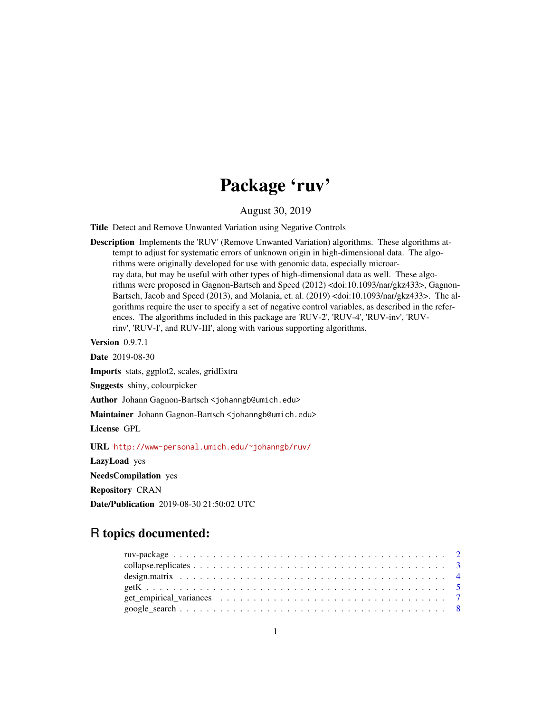# Package 'ruv'

August 30, 2019

Title Detect and Remove Unwanted Variation using Negative Controls

Description Implements the 'RUV' (Remove Unwanted Variation) algorithms. These algorithms attempt to adjust for systematic errors of unknown origin in high-dimensional data. The algorithms were originally developed for use with genomic data, especially microarray data, but may be useful with other types of high-dimensional data as well. These algorithms were proposed in Gagnon-Bartsch and Speed (2012) <doi:10.1093/nar/gkz433>, Gagnon-Bartsch, Jacob and Speed (2013), and Molania, et. al. (2019) <doi:10.1093/nar/gkz433>. The algorithms require the user to specify a set of negative control variables, as described in the references. The algorithms included in this package are 'RUV-2', 'RUV-4', 'RUV-inv', 'RUVrinv', 'RUV-I', and RUV-III', along with various supporting algorithms.

Version 0.9.7.1

Date 2019-08-30

Imports stats, ggplot2, scales, gridExtra

Suggests shiny, colourpicker

Author Johann Gagnon-Bartsch <johanngb@umich.edu>

Maintainer Johann Gagnon-Bartsch <johanngb@umich.edu>

License GPL

URL <http://www-personal.umich.edu/~johanngb/ruv/>

LazyLoad yes

NeedsCompilation yes

Repository CRAN

Date/Publication 2019-08-30 21:50:02 UTC

# R topics documented: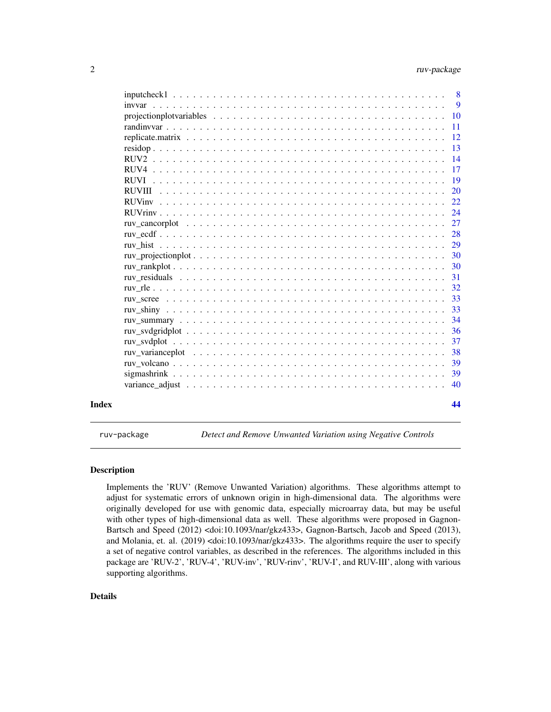<span id="page-1-0"></span>

|                                                                                                                                                              | $\overline{9}$ |
|--------------------------------------------------------------------------------------------------------------------------------------------------------------|----------------|
|                                                                                                                                                              | 10             |
|                                                                                                                                                              | -11            |
|                                                                                                                                                              | <sup>12</sup>  |
|                                                                                                                                                              | <sup>13</sup>  |
|                                                                                                                                                              | 14             |
|                                                                                                                                                              | 17             |
|                                                                                                                                                              | <sup>19</sup>  |
|                                                                                                                                                              | <sup>20</sup>  |
|                                                                                                                                                              | 22             |
|                                                                                                                                                              | 24             |
|                                                                                                                                                              | 27             |
|                                                                                                                                                              | 28             |
|                                                                                                                                                              | 29             |
|                                                                                                                                                              | 30             |
|                                                                                                                                                              | 30             |
|                                                                                                                                                              | 31             |
|                                                                                                                                                              | 32             |
|                                                                                                                                                              | 33             |
|                                                                                                                                                              | 33             |
|                                                                                                                                                              | 34             |
|                                                                                                                                                              | 36             |
|                                                                                                                                                              | 37             |
|                                                                                                                                                              | 38             |
|                                                                                                                                                              | 39             |
|                                                                                                                                                              | 39             |
| variance adjust $\ldots$ , $\ldots$ , $\ldots$ , $\ldots$ , $\ldots$ , $\ldots$ , $\ldots$ , $\ldots$ , $\ldots$ , $\ldots$ , $\ldots$ , $\ldots$ , $\ldots$ | 40             |
|                                                                                                                                                              | 44             |

ruv-package *Detect and Remove Unwanted Variation using Negative Controls*

#### Description

Implements the 'RUV' (Remove Unwanted Variation) algorithms. These algorithms attempt to adjust for systematic errors of unknown origin in high-dimensional data. The algorithms were originally developed for use with genomic data, especially microarray data, but may be useful with other types of high-dimensional data as well. These algorithms were proposed in Gagnon-Bartsch and Speed (2012) <doi:10.1093/nar/gkz433>, Gagnon-Bartsch, Jacob and Speed (2013), and Molania, et. al. (2019) <doi:10.1093/nar/gkz433>. The algorithms require the user to specify a set of negative control variables, as described in the references. The algorithms included in this package are 'RUV-2', 'RUV-4', 'RUV-inv', 'RUV-rinv', 'RUV-I', and RUV-III', along with various supporting algorithms.

# Details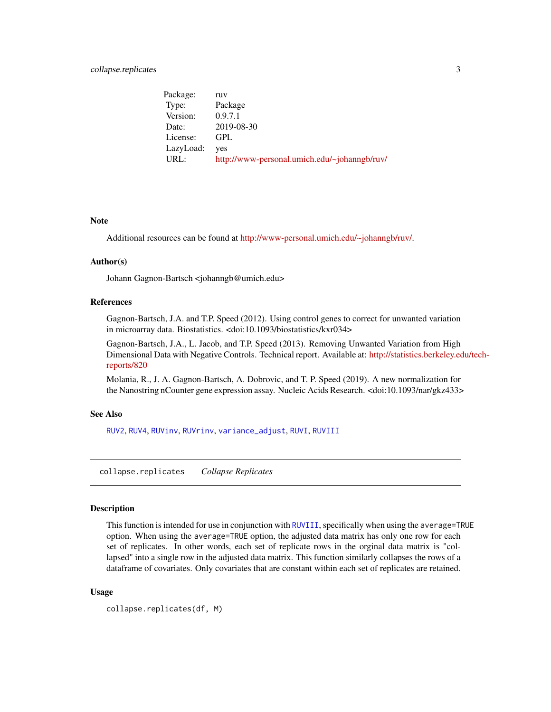# <span id="page-2-0"></span>collapse.replicates 3

Package: ruv Type: Package Version: 0.9.7.1 Date: 2019-08-30 License: GPL LazyLoad: yes URL: <http://www-personal.umich.edu/~johanngb/ruv/>

#### Note

Additional resources can be found at [http://www-personal.umich.edu/~johanngb/ruv/.](http://www-personal.umich.edu/~johanngb/ruv/)

#### Author(s)

Johann Gagnon-Bartsch <johanngb@umich.edu>

#### References

Gagnon-Bartsch, J.A. and T.P. Speed (2012). Using control genes to correct for unwanted variation in microarray data. Biostatistics. <doi:10.1093/biostatistics/kxr034>

Gagnon-Bartsch, J.A., L. Jacob, and T.P. Speed (2013). Removing Unwanted Variation from High Dimensional Data with Negative Controls. Technical report. Available at: [http://statistics.berkeley.ed](http://statistics.berkeley.edu/tech-reports/820)u/tech[reports/820](http://statistics.berkeley.edu/tech-reports/820)

Molania, R., J. A. Gagnon-Bartsch, A. Dobrovic, and T. P. Speed (2019). A new normalization for the Nanostring nCounter gene expression assay. Nucleic Acids Research. <doi:10.1093/nar/gkz433>

#### See Also

[RUV2](#page-13-1), [RUV4](#page-16-1), [RUVinv](#page-21-1), [RUVrinv](#page-23-1), [variance\\_adjust](#page-39-1), [RUVI](#page-18-1), [RUVIII](#page-19-1)

collapse.replicates *Collapse Replicates*

#### Description

This function is intended for use in conjunction with [RUVIII](#page-19-1), specifically when using the average=TRUE option. When using the average=TRUE option, the adjusted data matrix has only one row for each set of replicates. In other words, each set of replicate rows in the orginal data matrix is "collapsed" into a single row in the adjusted data matrix. This function similarly collapses the rows of a dataframe of covariates. Only covariates that are constant within each set of replicates are retained.

#### Usage

```
collapse.replicates(df, M)
```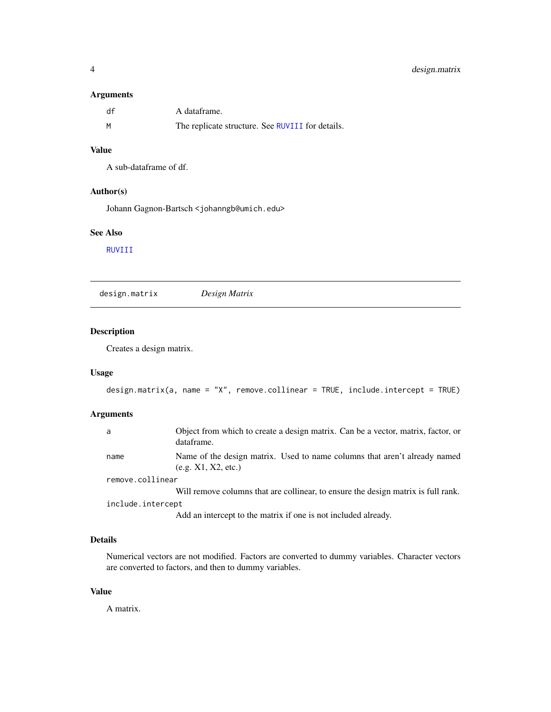#### <span id="page-3-0"></span>Arguments

| df | A dataframe.                                     |
|----|--------------------------------------------------|
| M  | The replicate structure. See RUVIII for details. |

#### Value

A sub-dataframe of df.

#### Author(s)

Johann Gagnon-Bartsch <johanngb@umich.edu>

# See Also

[RUVIII](#page-19-1)

<span id="page-3-1"></span>design.matrix *Design Matrix*

# Description

Creates a design matrix.

# Usage

design.matrix(a, name = "X", remove.collinear = TRUE, include.intercept = TRUE)

# Arguments

| a                 | Object from which to create a design matrix. Can be a vector, matrix, factor, or<br>dataframe.   |
|-------------------|--------------------------------------------------------------------------------------------------|
| name              | Name of the design matrix. Used to name columns that aren't already named<br>(e.g. X1, X2, etc.) |
| remove.collinear  |                                                                                                  |
|                   | Will remove columns that are collinear, to ensure the design matrix is full rank.                |
| include.intercept |                                                                                                  |
|                   | Add an intercept to the matrix if one is not included already.                                   |

# Details

Numerical vectors are not modified. Factors are converted to dummy variables. Character vectors are converted to factors, and then to dummy variables.

#### Value

A matrix.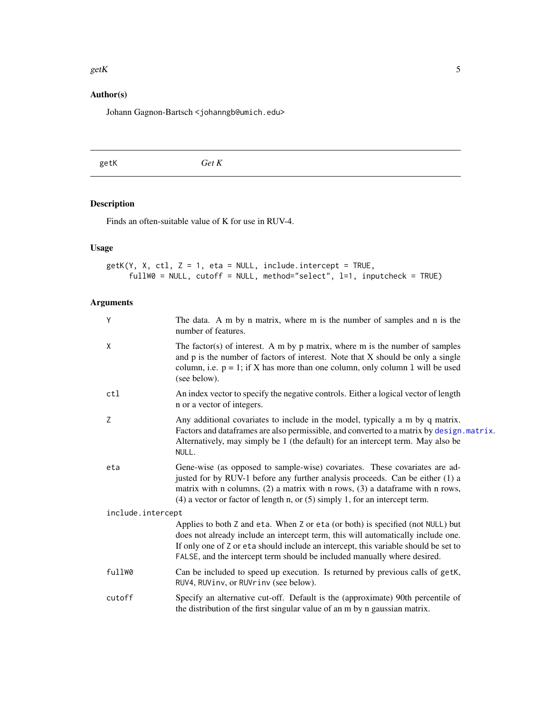#### <span id="page-4-0"></span> $\epsilon$ getK 5

# Author(s)

Johann Gagnon-Bartsch <johanngb@umich.edu>

<span id="page-4-1"></span>getK *Get K*

# Description

Finds an often-suitable value of K for use in RUV-4.

# Usage

```
getK(Y, X, ctl, Z = 1, eta = NULL, include.intercept = TRUE,
     fullW0 = NULL, cutoff = NULL, method="select", l=1, inputcheck = TRUE)
```

| Y                 | The data. A m by n matrix, where m is the number of samples and n is the<br>number of features.                                                                                                                                                                                                                                       |
|-------------------|---------------------------------------------------------------------------------------------------------------------------------------------------------------------------------------------------------------------------------------------------------------------------------------------------------------------------------------|
| X                 | The factor(s) of interest. A m by $p$ matrix, where m is the number of samples<br>and p is the number of factors of interest. Note that X should be only a single<br>column, i.e. $p = 1$ ; if X has more than one column, only column 1 will be used<br>(see below).                                                                 |
| ctl               | An index vector to specify the negative controls. Either a logical vector of length<br>n or a vector of integers.                                                                                                                                                                                                                     |
| Z                 | Any additional covariates to include in the model, typically a m by q matrix.<br>Factors and dataframes are also permissible, and converted to a matrix by design. matrix.<br>Alternatively, may simply be 1 (the default) for an intercept term. May also be<br>NULL.                                                                |
| eta               | Gene-wise (as opposed to sample-wise) covariates. These covariates are ad-<br>justed for by RUV-1 before any further analysis proceeds. Can be either (1) a<br>matrix with n columns, $(2)$ a matrix with n rows, $(3)$ a dataframe with n rows,<br>$(4)$ a vector or factor of length n, or $(5)$ simply 1, for an intercept term.   |
| include.intercept |                                                                                                                                                                                                                                                                                                                                       |
|                   | Applies to both Z and eta. When Z or eta (or both) is specified (not NULL) but<br>does not already include an intercept term, this will automatically include one.<br>If only one of Z or eta should include an intercept, this variable should be set to<br>FALSE, and the intercept term should be included manually where desired. |
| fullW0            | Can be included to speed up execution. Is returned by previous calls of getK,<br>RUV4, RUVinv, or RUVrinv (see below).                                                                                                                                                                                                                |
| cutoff            | Specify an alternative cut-off. Default is the (approximate) 90th percentile of<br>the distribution of the first singular value of an m by n gaussian matrix.                                                                                                                                                                         |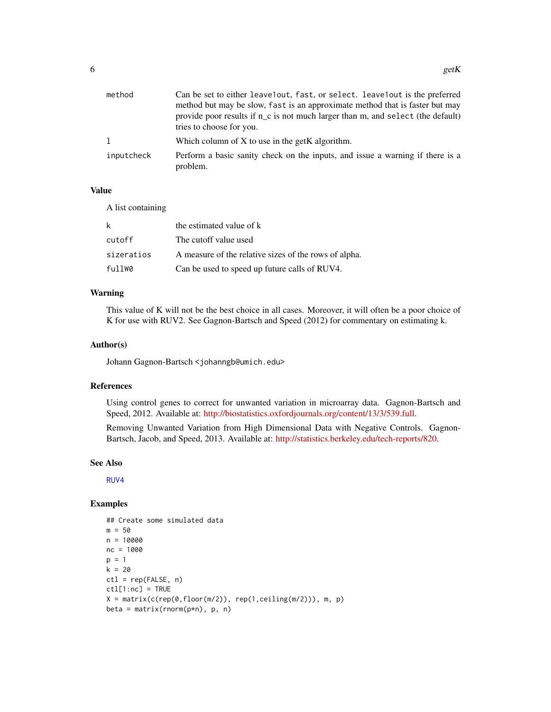<span id="page-5-0"></span>

| method     | Can be set to either leave1out, fast, or select. leave1out is the preferred<br>method but may be slow, fast is an approximate method that is faster but may<br>provide poor results if $n_c$ is not much larger than m, and select (the default)<br>tries to choose for you. |
|------------|------------------------------------------------------------------------------------------------------------------------------------------------------------------------------------------------------------------------------------------------------------------------------|
|            | Which column of $X$ to use in the get K algorithm.                                                                                                                                                                                                                           |
| inputcheck | Perform a basic sanity check on the inputs, and issue a warning if there is a<br>problem.                                                                                                                                                                                    |

#### Value

A list containing

| k          | the estimated value of k                              |
|------------|-------------------------------------------------------|
| cutoff     | The cutoff value used                                 |
| sizeratios | A measure of the relative sizes of the rows of alpha. |
| fullW0     | Can be used to speed up future calls of RUV4.         |

### Warning

This value of K will not be the best choice in all cases. Moreover, it will often be a poor choice of K for use with RUV2. See Gagnon-Bartsch and Speed (2012) for commentary on estimating k.

#### Author(s)

Johann Gagnon-Bartsch <johanngb@umich.edu>

#### References

Using control genes to correct for unwanted variation in microarray data. Gagnon-Bartsch and Speed, 2012. Available at: [http://biostatistics.oxfordjournals.org/content/13/3/539.full.](http://biostatistics.oxfordjournals.org/content/13/3/539.full)

Removing Unwanted Variation from High Dimensional Data with Negative Controls. Gagnon-Bartsch, Jacob, and Speed, 2013. Available at: [http://statistics.berkeley.edu/tech-reports/820.](http://statistics.berkeley.edu/tech-reports/820)

#### See Also

[RUV4](#page-16-1)

# Examples

```
## Create some simulated data
m = 50n = 10000
nc = 1000
p = 1k = 20ctl = rep(FALSE, n)
ctl[1:nc] = TRUE
X = matrix(c(rep(\theta, floor(m/2)), rep(1, ceiling(m/2))), m, p)beta = matrix(rnorm(p*n), p, n)
```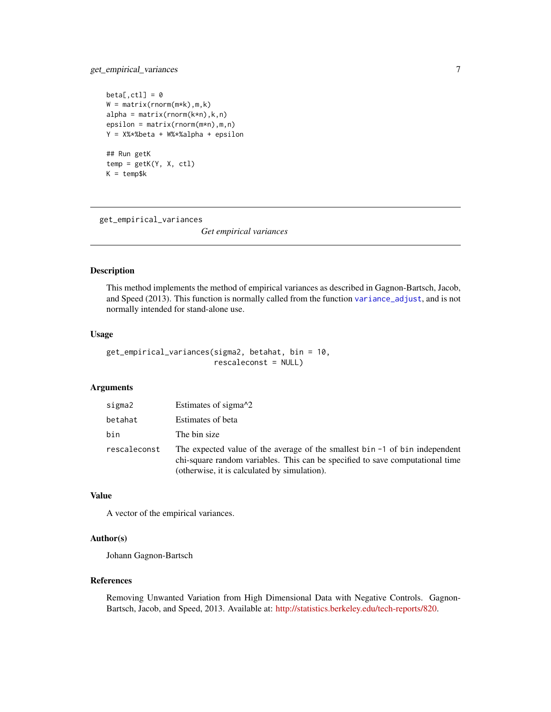# <span id="page-6-0"></span>get\_empirical\_variances 7

```
beta[,ct1] = 0W = matrix(rnorm(m*k), m, k)alpha = matrix(rnorm(k*n),k,n)epsilon = matrix(rnorm(m*n),m,n)
Y = X%*%beta + W%*%alpha + epsilon
## Run getK
temp = getK(Y, X, ctl)
K = temp$k
```
<span id="page-6-1"></span>get\_empirical\_variances

*Get empirical variances*

#### Description

This method implements the method of empirical variances as described in Gagnon-Bartsch, Jacob, and Speed (2013). This function is normally called from the function [variance\\_adjust](#page-39-1), and is not normally intended for stand-alone use.

#### Usage

```
get_empirical_variances(sigma2, betahat, bin = 10,
                        rescaleconst = NULL)
```
# Arguments

| sigma2       | Estimates of sigma <sup>2</sup>                                                                                                                                                                                |
|--------------|----------------------------------------------------------------------------------------------------------------------------------------------------------------------------------------------------------------|
| betahat      | Estimates of beta                                                                                                                                                                                              |
| bin          | The bin size                                                                                                                                                                                                   |
| rescaleconst | The expected value of the average of the smallest bin $-1$ of bin independent<br>chi-square random variables. This can be specified to save computational time<br>(otherwise, it is calculated by simulation). |

#### Value

A vector of the empirical variances.

#### Author(s)

Johann Gagnon-Bartsch

#### References

Removing Unwanted Variation from High Dimensional Data with Negative Controls. Gagnon-Bartsch, Jacob, and Speed, 2013. Available at: [http://statistics.berkeley.edu/tech-reports/820.](http://statistics.berkeley.edu/tech-reports/820)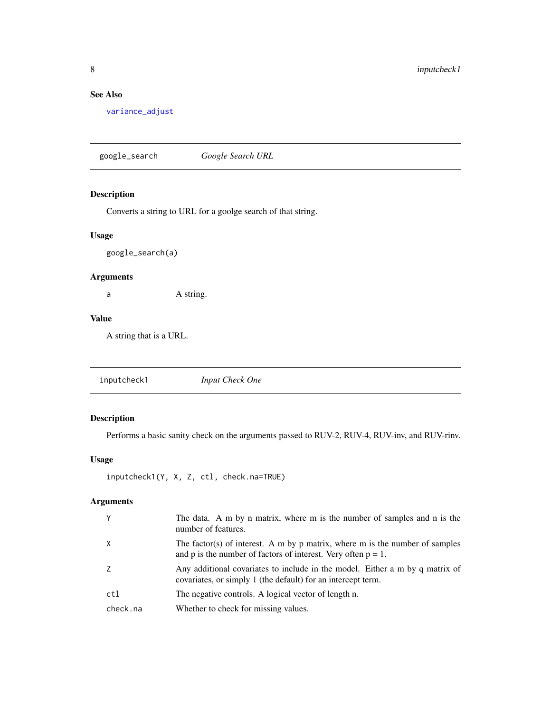# <span id="page-7-0"></span>See Also

[variance\\_adjust](#page-39-1)

google\_search *Google Search URL*

# Description

Converts a string to URL for a goolge search of that string.

# Usage

google\_search(a)

# Arguments

a A string.

#### Value

A string that is a URL.

inputcheck1 *Input Check One*

# Description

Performs a basic sanity check on the arguments passed to RUV-2, RUV-4, RUV-inv, and RUV-rinv.

# Usage

```
inputcheck1(Y, X, Z, ctl, check.na=TRUE)
```

| Y        | The data. A m by n matrix, where m is the number of samples and n is the<br>number of features.                                                  |
|----------|--------------------------------------------------------------------------------------------------------------------------------------------------|
| $\times$ | The factor(s) of interest. A m by p matrix, where m is the number of samples<br>and p is the number of factors of interest. Very often $p = 1$ . |
| 7        | Any additional covariates to include in the model. Either a m by q matrix of<br>covariates, or simply 1 (the default) for an intercept term.     |
| ctl      | The negative controls. A logical vector of length n.                                                                                             |
| check.na | Whether to check for missing values.                                                                                                             |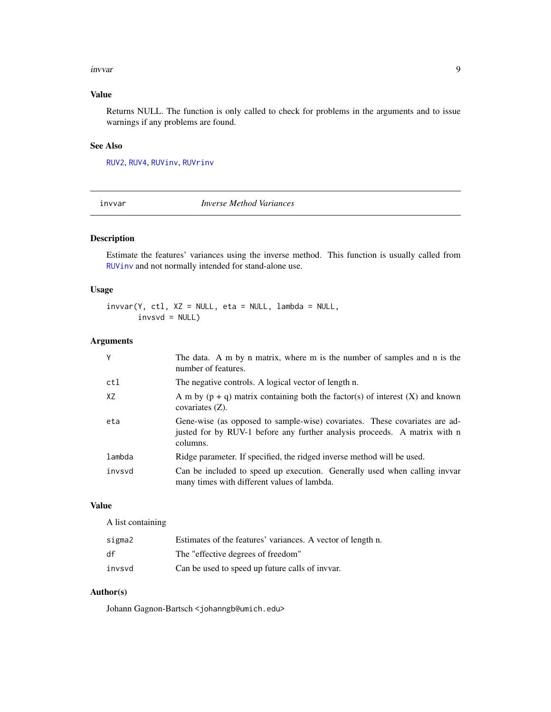#### <span id="page-8-0"></span>invvar 9

# Value

Returns NULL. The function is only called to check for problems in the arguments and to issue warnings if any problems are found.

#### See Also

[RUV2](#page-13-1), [RUV4](#page-16-1), [RUVinv](#page-21-1), [RUVrinv](#page-23-1)

<span id="page-8-1"></span>invvar *Inverse Method Variances*

# Description

Estimate the features' variances using the inverse method. This function is usually called from [RUVinv](#page-21-1) and not normally intended for stand-alone use.

#### Usage

 $invvar(Y, ct1, XZ = NULL, etc = NULL, lambda = NULL,$  $invsvd = NULL$ 

# Arguments

| Y      | The data. A m by n matrix, where m is the number of samples and n is the<br>number of features.                                                                     |
|--------|---------------------------------------------------------------------------------------------------------------------------------------------------------------------|
| ctl    | The negative controls. A logical vector of length n.                                                                                                                |
| XZ     | A m by $(p + q)$ matrix containing both the factor(s) of interest $(X)$ and known<br>covariates $(Z)$ .                                                             |
| eta    | Gene-wise (as opposed to sample-wise) covariates. These covariates are ad-<br>justed for by RUV-1 before any further analysis proceeds. A matrix with n<br>columns. |
| lambda | Ridge parameter. If specified, the ridged inverse method will be used.                                                                                              |
| invsvd | Can be included to speed up execution. Generally used when calling invvar<br>many times with different values of lambda.                                            |

# Value

A list containing

| sigma2 | Estimates of the features' variances. A vector of length n. |
|--------|-------------------------------------------------------------|
| df     | The "effective degrees of freedom"                          |
| invsvd | Can be used to speed up future calls of inver.              |

# Author(s)

Johann Gagnon-Bartsch <johanngb@umich.edu>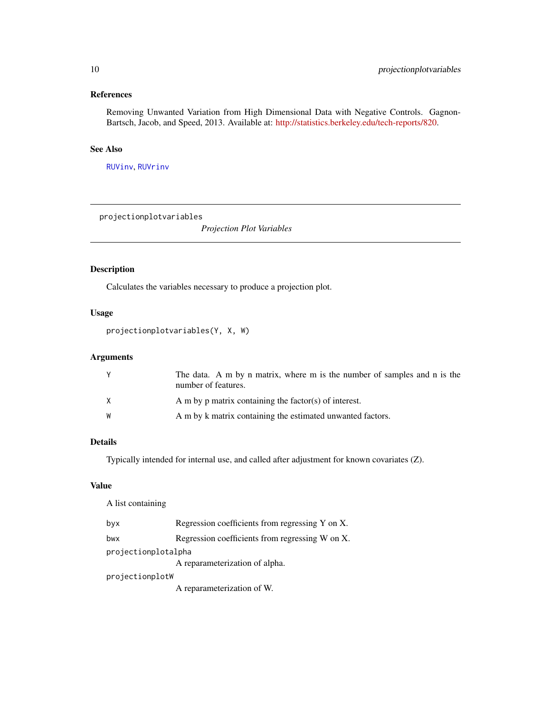# <span id="page-9-0"></span>References

Removing Unwanted Variation from High Dimensional Data with Negative Controls. Gagnon-Bartsch, Jacob, and Speed, 2013. Available at: [http://statistics.berkeley.edu/tech-reports/820.](http://statistics.berkeley.edu/tech-reports/820)

# See Also

[RUVinv](#page-21-1), [RUVrinv](#page-23-1)

projectionplotvariables

*Projection Plot Variables*

# Description

Calculates the variables necessary to produce a projection plot.

# Usage

```
projectionplotvariables(Y, X, W)
```
# Arguments

|   | The data. A m by n matrix, where m is the number of samples and n is the<br>number of features. |
|---|-------------------------------------------------------------------------------------------------|
| X | A m by p matrix containing the factor(s) of interest.                                           |
| W | A m by k matrix containing the estimated unwanted factors.                                      |

#### Details

Typically intended for internal use, and called after adjustment for known covariates (Z).

#### Value

A list containing

| byx                 | Regression coefficients from regressing Y on X. |
|---------------------|-------------------------------------------------|
| bwx                 | Regression coefficients from regressing W on X. |
| projectionplotalpha |                                                 |
|                     | A reparameterization of alpha.                  |
| projectionplotW     |                                                 |
|                     | A reparameterization of W.                      |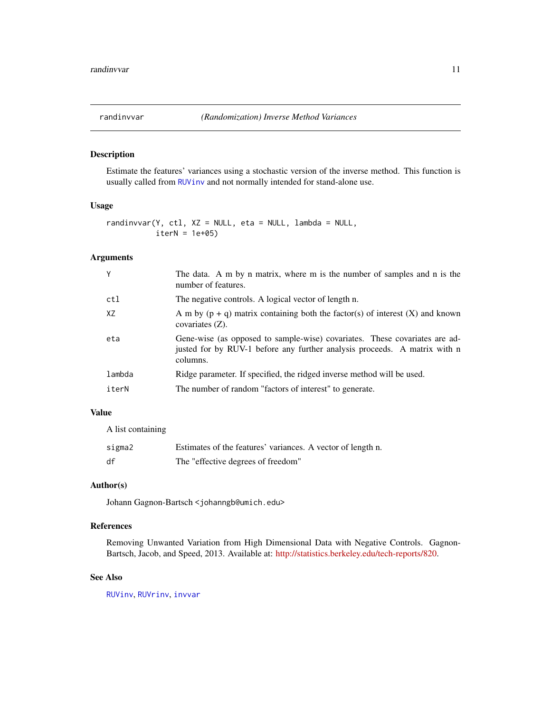<span id="page-10-0"></span>

#### Description

Estimate the features' variances using a stochastic version of the inverse method. This function is usually called from [RUVinv](#page-21-1) and not normally intended for stand-alone use.

#### Usage

randinvvar(Y, ctl, XZ = NULL, eta = NULL, lambda = NULL,  $iterN = 1e+05$ 

# Arguments

| Y      | The data. A m by n matrix, where m is the number of samples and n is the<br>number of features.                                                                     |
|--------|---------------------------------------------------------------------------------------------------------------------------------------------------------------------|
| ctl    | The negative controls. A logical vector of length n.                                                                                                                |
| XZ     | A m by $(p + q)$ matrix containing both the factor(s) of interest (X) and known<br>covariates $(Z)$ .                                                               |
| eta    | Gene-wise (as opposed to sample-wise) covariates. These covariates are ad-<br>justed for by RUV-1 before any further analysis proceeds. A matrix with n<br>columns. |
| lambda | Ridge parameter. If specified, the ridged inverse method will be used.                                                                                              |
| iterN  | The number of random "factors of interest" to generate.                                                                                                             |

#### Value

A list containing

| sigma2 | Estimates of the features' variances. A vector of length n. |
|--------|-------------------------------------------------------------|
| df     | The "effective degrees of freedom"                          |

# Author(s)

Johann Gagnon-Bartsch <johanngb@umich.edu>

#### References

Removing Unwanted Variation from High Dimensional Data with Negative Controls. Gagnon-Bartsch, Jacob, and Speed, 2013. Available at: [http://statistics.berkeley.edu/tech-reports/820.](http://statistics.berkeley.edu/tech-reports/820)

#### See Also

[RUVinv](#page-21-1), [RUVrinv](#page-23-1), [invvar](#page-8-1)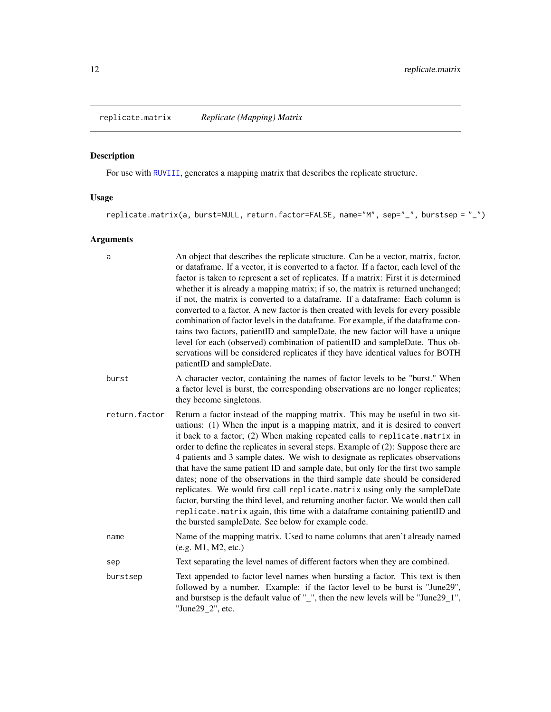<span id="page-11-1"></span><span id="page-11-0"></span>replicate.matrix *Replicate (Mapping) Matrix*

# Description

For use with [RUVIII](#page-19-1), generates a mapping matrix that describes the replicate structure.

# Usage

replicate.matrix(a, burst=NULL, return.factor=FALSE, name="M", sep="\_", burstsep = "\_")

| a             | An object that describes the replicate structure. Can be a vector, matrix, factor,<br>or dataframe. If a vector, it is converted to a factor. If a factor, each level of the<br>factor is taken to represent a set of replicates. If a matrix: First it is determined<br>whether it is already a mapping matrix; if so, the matrix is returned unchanged;<br>if not, the matrix is converted to a dataframe. If a dataframe: Each column is<br>converted to a factor. A new factor is then created with levels for every possible<br>combination of factor levels in the dataframe. For example, if the dataframe con-<br>tains two factors, patientID and sampleDate, the new factor will have a unique<br>level for each (observed) combination of patientID and sampleDate. Thus ob-<br>servations will be considered replicates if they have identical values for BOTH<br>patientID and sampleDate. |
|---------------|---------------------------------------------------------------------------------------------------------------------------------------------------------------------------------------------------------------------------------------------------------------------------------------------------------------------------------------------------------------------------------------------------------------------------------------------------------------------------------------------------------------------------------------------------------------------------------------------------------------------------------------------------------------------------------------------------------------------------------------------------------------------------------------------------------------------------------------------------------------------------------------------------------|
| burst         | A character vector, containing the names of factor levels to be "burst." When<br>a factor level is burst, the corresponding observations are no longer replicates;<br>they become singletons.                                                                                                                                                                                                                                                                                                                                                                                                                                                                                                                                                                                                                                                                                                           |
| return.factor | Return a factor instead of the mapping matrix. This may be useful in two sit-<br>uations: (1) When the input is a mapping matrix, and it is desired to convert<br>it back to a factor; (2) When making repeated calls to replicate.matrix in<br>order to define the replicates in several steps. Example of (2): Suppose there are<br>4 patients and 3 sample dates. We wish to designate as replicates observations<br>that have the same patient ID and sample date, but only for the first two sample<br>dates; none of the observations in the third sample date should be considered<br>replicates. We would first call replicate.matrix using only the sampleDate<br>factor, bursting the third level, and returning another factor. We would then call<br>replicate.matrix again, this time with a dataframe containing patientID and<br>the bursted sampleDate. See below for example code.     |
| name          | Name of the mapping matrix. Used to name columns that aren't already named<br>(e.g. M1, M2, etc.)                                                                                                                                                                                                                                                                                                                                                                                                                                                                                                                                                                                                                                                                                                                                                                                                       |
| sep           | Text separating the level names of different factors when they are combined.                                                                                                                                                                                                                                                                                                                                                                                                                                                                                                                                                                                                                                                                                                                                                                                                                            |
| burstsep      | Text appended to factor level names when bursting a factor. This text is then<br>followed by a number. Example: if the factor level to be burst is "June29",<br>and burstsep is the default value of "_", then the new levels will be "June29_1",<br>"June29_2", etc.                                                                                                                                                                                                                                                                                                                                                                                                                                                                                                                                                                                                                                   |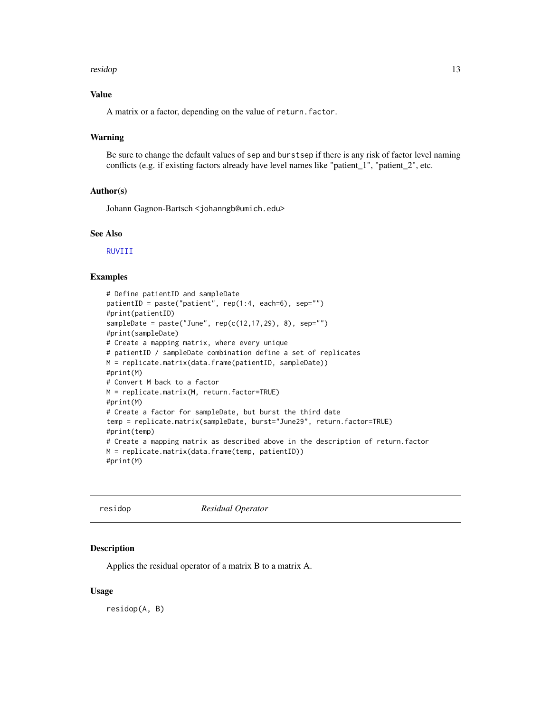#### <span id="page-12-0"></span>residop and the state of the state of the state of the state of the state of the state of the state of the state of the state of the state of the state of the state of the state of the state of the state of the state of th

#### Value

A matrix or a factor, depending on the value of return.factor.

#### Warning

Be sure to change the default values of sep and burstsep if there is any risk of factor level naming conflicts (e.g. if existing factors already have level names like "patient\_1", "patient\_2", etc.

# Author(s)

Johann Gagnon-Bartsch <johanngb@umich.edu>

# See Also

[RUVIII](#page-19-1)

# Examples

```
# Define patientID and sampleDate
patientID = paste("patient", rep(1:4, each=6), sep="")
#print(patientID)
sampleDate = paste("June", rep(c(12, 17, 29), 8), sep="")
#print(sampleDate)
# Create a mapping matrix, where every unique
# patientID / sampleDate combination define a set of replicates
M = replicate.matrix(data.frame(patientID, sampleDate))
#print(M)
# Convert M back to a factor
M = replicate.matrix(M, return.factor=TRUE)
#print(M)
# Create a factor for sampleDate, but burst the third date
temp = replicate.matrix(sampleDate, burst="June29", return.factor=TRUE)
#print(temp)
# Create a mapping matrix as described above in the description of return.factor
M = replicate.matrix(data.frame(temp, patientID))
#print(M)
```
residop *Residual Operator*

#### Description

Applies the residual operator of a matrix B to a matrix A.

#### Usage

residop(A, B)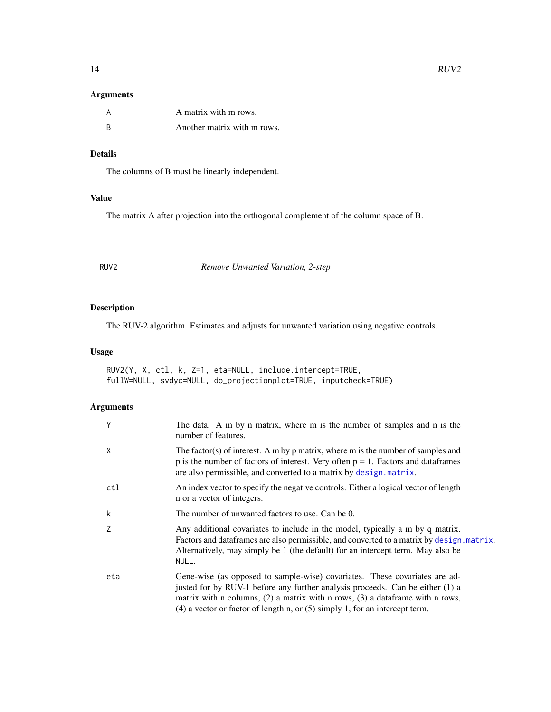<span id="page-13-0"></span>

|     | A matrix with m rows.       |
|-----|-----------------------------|
| - R | Another matrix with m rows. |

# Details

The columns of B must be linearly independent.

# Value

The matrix A after projection into the orthogonal complement of the column space of B.

<span id="page-13-1"></span>RUV2 *Remove Unwanted Variation, 2-step*

# Description

The RUV-2 algorithm. Estimates and adjusts for unwanted variation using negative controls.

#### Usage

RUV2(Y, X, ctl, k, Z=1, eta=NULL, include.intercept=TRUE, fullW=NULL, svdyc=NULL, do\_projectionplot=TRUE, inputcheck=TRUE)

| Y   | The data. A m by n matrix, where m is the number of samples and n is the<br>number of features.                                                                                                                                                                                                                                      |
|-----|--------------------------------------------------------------------------------------------------------------------------------------------------------------------------------------------------------------------------------------------------------------------------------------------------------------------------------------|
| X   | The factor(s) of interest. A m by p matrix, where m is the number of samples and<br>p is the number of factors of interest. Very often $p = 1$ . Factors and data frames<br>are also permissible, and converted to a matrix by design. matrix.                                                                                       |
| ctl | An index vector to specify the negative controls. Either a logical vector of length<br>n or a vector of integers.                                                                                                                                                                                                                    |
| k   | The number of unwanted factors to use. Can be 0.                                                                                                                                                                                                                                                                                     |
| Z   | Any additional covariates to include in the model, typically a m by q matrix.<br>Factors and data frames are also permissible, and converted to a matrix by design. matrix.<br>Alternatively, may simply be 1 (the default) for an intercept term. May also be<br>NULL.                                                              |
| eta | Gene-wise (as opposed to sample-wise) covariates. These covariates are ad-<br>justed for by RUV-1 before any further analysis proceeds. Can be either (1) a<br>matrix with n columns, $(2)$ a matrix with n rows, $(3)$ a data frame with n rows,<br>$(4)$ a vector or factor of length n, or $(5)$ simply 1, for an intercept term. |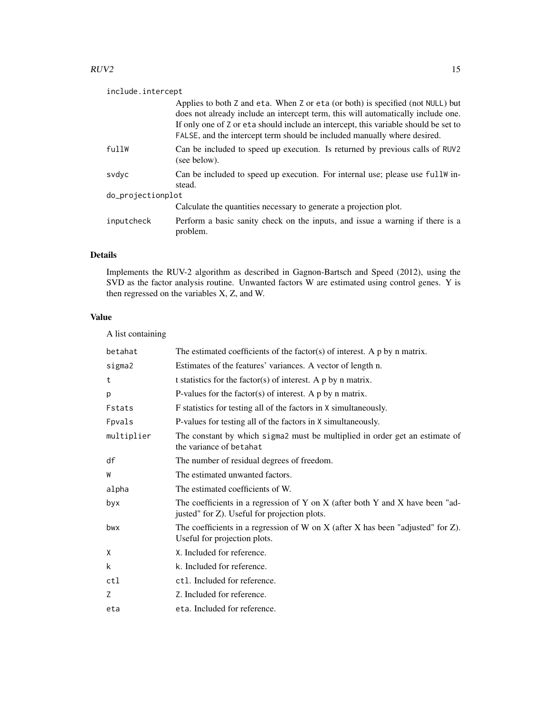#### $RUV2$  15

# include.intercept

|                   | Applies to both Z and eta. When Z or eta (or both) is specified (not NULL) but<br>does not already include an intercept term, this will automatically include one.<br>If only one of Z or eta should include an intercept, this variable should be set to<br>FALSE, and the intercept term should be included manually where desired. |  |
|-------------------|---------------------------------------------------------------------------------------------------------------------------------------------------------------------------------------------------------------------------------------------------------------------------------------------------------------------------------------|--|
| fullW             | Can be included to speed up execution. Is returned by previous calls of RUV2<br>(see below).                                                                                                                                                                                                                                          |  |
| svdvc             | Can be included to speed up execution. For internal use; please use full w in-<br>stead.                                                                                                                                                                                                                                              |  |
| do_projectionplot |                                                                                                                                                                                                                                                                                                                                       |  |
|                   | Calculate the quantities necessary to generate a projection plot.                                                                                                                                                                                                                                                                     |  |
| inputcheck        | Perform a basic sanity check on the inputs, and issue a warning if there is a<br>problem.                                                                                                                                                                                                                                             |  |

# Details

Implements the RUV-2 algorithm as described in Gagnon-Bartsch and Speed (2012), using the SVD as the factor analysis routine. Unwanted factors W are estimated using control genes. Y is then regressed on the variables X, Z, and W.

# Value

A list containing

| betahat    | The estimated coefficients of the factor(s) of interest. A $p$ by n matrix.                                                   |
|------------|-------------------------------------------------------------------------------------------------------------------------------|
| sigma2     | Estimates of the features' variances. A vector of length n.                                                                   |
| t          | t statistics for the factor(s) of interest. A $p$ by n matrix.                                                                |
| p          | P-values for the factor(s) of interest. A $p$ by $n$ matrix.                                                                  |
| Fstats     | F statistics for testing all of the factors in X simultaneously.                                                              |
| Fpvals     | P-values for testing all of the factors in X simultaneously.                                                                  |
| multiplier | The constant by which sigma2 must be multiplied in order get an estimate of<br>the variance of betahat                        |
| df         | The number of residual degrees of freedom.                                                                                    |
| W          | The estimated unwanted factors.                                                                                               |
| alpha      | The estimated coefficients of W.                                                                                              |
| byx        | The coefficients in a regression of Y on X (after both Y and X have been "ad-<br>justed" for Z). Useful for projection plots. |
| bwx        | The coefficients in a regression of W on X (after X has been "adjusted" for $Z$ ).<br>Useful for projection plots.            |
| Χ          | X. Included for reference.                                                                                                    |
| k          | k. Included for reference.                                                                                                    |
| ctl        | ct1. Included for reference.                                                                                                  |
| Z          | Z. Included for reference.                                                                                                    |
| eta        | eta. Included for reference.                                                                                                  |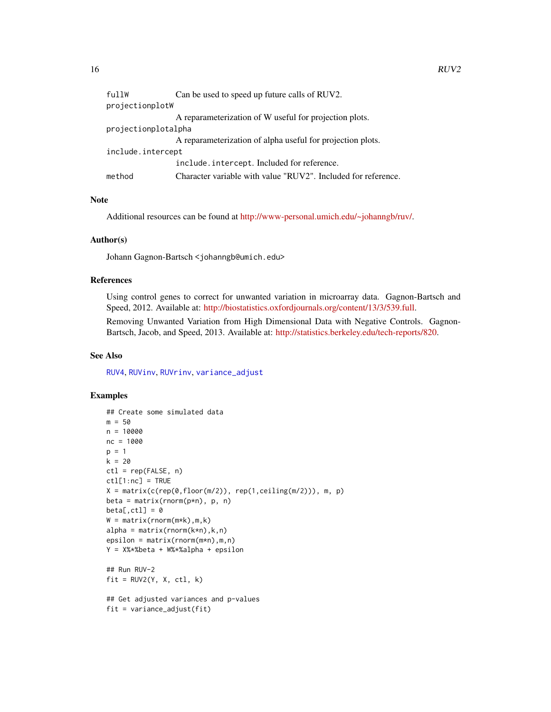<span id="page-15-0"></span>

| projectionplotW<br>A reparameterization of W useful for projection plots. |
|---------------------------------------------------------------------------|
|                                                                           |
|                                                                           |
| projectionplotalpha                                                       |
| A reparameterization of alpha useful for projection plots.                |
| include.intercept                                                         |
| include.intercept. Included for reference.                                |
| method<br>Character variable with value "RUV2". Included for reference.   |

#### Note

Additional resources can be found at [http://www-personal.umich.edu/~johanngb/ruv/.](http://www-personal.umich.edu/~johanngb/ruv/)

#### Author(s)

Johann Gagnon-Bartsch <johanngb@umich.edu>

#### References

Using control genes to correct for unwanted variation in microarray data. Gagnon-Bartsch and Speed, 2012. Available at: [http://biostatistics.oxfordjournals.org/content/13/3/539.full.](http://biostatistics.oxfordjournals.org/content/13/3/539.full)

Removing Unwanted Variation from High Dimensional Data with Negative Controls. Gagnon-Bartsch, Jacob, and Speed, 2013. Available at: [http://statistics.berkeley.edu/tech-reports/820.](http://statistics.berkeley.edu/tech-reports/820)

#### See Also

[RUV4](#page-16-1), [RUVinv](#page-21-1), [RUVrinv](#page-23-1), [variance\\_adjust](#page-39-1)

#### Examples

```
## Create some simulated data
m = 50n = 10000
nc = 1000
p = 1k = 20ctl = rep(FALSE, n)ctl[1:nc] = TRUEX = matrix(c(rep(\theta, floor(m/2)), rep(1, ceiling(m/2))), m, p)beta = matrix(rnorm(p*n), p, n)beta[,ct1] = 0W = matrix(rnorm(m*k), m, k)alpha = matrix(rnorm(k*n),k,n)epsilon = matrix(rnorm(m*n),m,n)
Y = X%*%beta + W%*%alpha + epsilon
## Run RUV-2
fit = RUV2(Y, X, ct1, k)## Get adjusted variances and p-values
fit = variance_adjust(fit)
```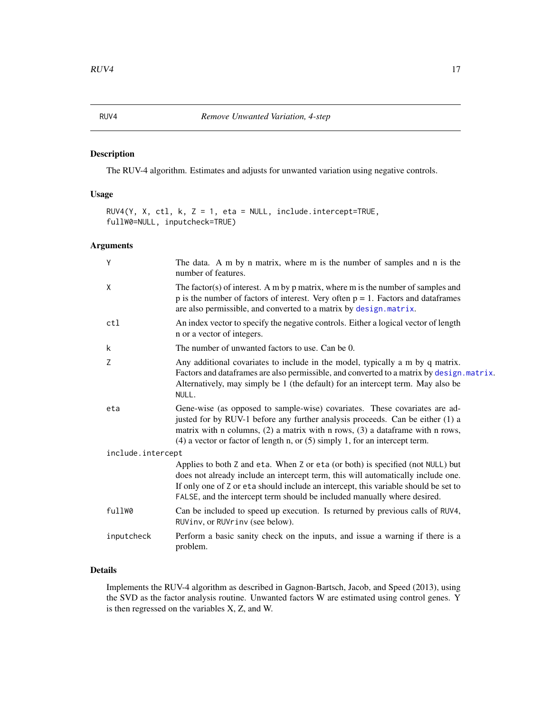# Description

The RUV-4 algorithm. Estimates and adjusts for unwanted variation using negative controls.

#### Usage

```
RUV4(Y, X, ctl, k, Z = 1, eta = NULL, include.intercept=TRUE,
fullW0=NULL, inputcheck=TRUE)
```
#### Arguments

| Y                 | The data. A m by n matrix, where m is the number of samples and n is the<br>number of features.                                                                                                                                                                                                                                       |
|-------------------|---------------------------------------------------------------------------------------------------------------------------------------------------------------------------------------------------------------------------------------------------------------------------------------------------------------------------------------|
| X                 | The factor(s) of interest. A m by $p$ matrix, where m is the number of samples and<br>$p$ is the number of factors of interest. Very often $p = 1$ . Factors and data frames<br>are also permissible, and converted to a matrix by design. matrix.                                                                                    |
| ctl               | An index vector to specify the negative controls. Either a logical vector of length<br>n or a vector of integers.                                                                                                                                                                                                                     |
| k                 | The number of unwanted factors to use. Can be 0.                                                                                                                                                                                                                                                                                      |
| Z                 | Any additional covariates to include in the model, typically a m by q matrix.<br>Factors and dataframes are also permissible, and converted to a matrix by design. matrix.<br>Alternatively, may simply be 1 (the default) for an intercept term. May also be<br>NULL.                                                                |
| eta               | Gene-wise (as opposed to sample-wise) covariates. These covariates are ad-<br>justed for by RUV-1 before any further analysis proceeds. Can be either (1) a<br>matrix with n columns, $(2)$ a matrix with n rows, $(3)$ a dataframe with n rows,<br>$(4)$ a vector or factor of length n, or $(5)$ simply 1, for an intercept term.   |
| include.intercept |                                                                                                                                                                                                                                                                                                                                       |
|                   | Applies to both Z and eta. When Z or eta (or both) is specified (not NULL) but<br>does not already include an intercept term, this will automatically include one.<br>If only one of Z or eta should include an intercept, this variable should be set to<br>FALSE, and the intercept term should be included manually where desired. |
| fullW0            | Can be included to speed up execution. Is returned by previous calls of RUV4,<br>RUVinv, or RUVrinv (see below).                                                                                                                                                                                                                      |
| inputcheck        | Perform a basic sanity check on the inputs, and issue a warning if there is a<br>problem.                                                                                                                                                                                                                                             |
|                   |                                                                                                                                                                                                                                                                                                                                       |

#### Details

Implements the RUV-4 algorithm as described in Gagnon-Bartsch, Jacob, and Speed (2013), using the SVD as the factor analysis routine. Unwanted factors W are estimated using control genes. Y is then regressed on the variables X, Z, and W.

<span id="page-16-1"></span><span id="page-16-0"></span>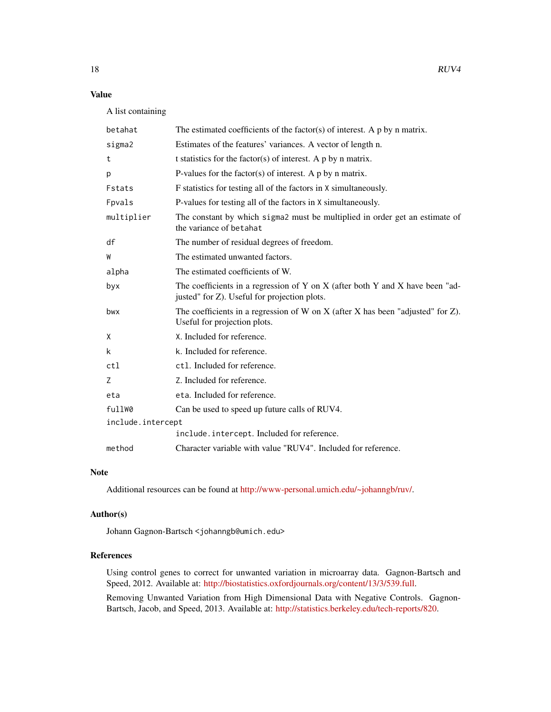# Value

A list containing

| betahat           | The estimated coefficients of the factor(s) of interest. A $p$ by n matrix.                                                   |
|-------------------|-------------------------------------------------------------------------------------------------------------------------------|
| sigma2            | Estimates of the features' variances. A vector of length n.                                                                   |
| t                 | t statistics for the factor(s) of interest. A $p$ by n matrix.                                                                |
| p                 | P-values for the factor(s) of interest. A $p$ by n matrix.                                                                    |
| Fstats            | F statistics for testing all of the factors in X simultaneously.                                                              |
| Fpvals            | P-values for testing all of the factors in X simultaneously.                                                                  |
| multiplier        | The constant by which sigmal must be multiplied in order get an estimate of<br>the variance of betahat                        |
| df                | The number of residual degrees of freedom.                                                                                    |
| W                 | The estimated unwanted factors.                                                                                               |
| alpha             | The estimated coefficients of W.                                                                                              |
| byx               | The coefficients in a regression of Y on X (after both Y and X have been "ad-<br>justed" for Z). Useful for projection plots. |
| bwx               | The coefficients in a regression of W on X (after X has been "adjusted" for $Z$ ).<br>Useful for projection plots.            |
| X                 | X. Included for reference.                                                                                                    |
| k                 | k. Included for reference.                                                                                                    |
| ct1               | ctl. Included for reference.                                                                                                  |
| Z                 | Z. Included for reference.                                                                                                    |
| eta               | eta. Included for reference.                                                                                                  |
| fullW0            | Can be used to speed up future calls of RUV4.                                                                                 |
| include.intercept |                                                                                                                               |
|                   | include.intercept. Included for reference.                                                                                    |
| method            | Character variable with value "RUV4". Included for reference.                                                                 |

#### Note

Additional resources can be found at [http://www-personal.umich.edu/~johanngb/ruv/.](http://www-personal.umich.edu/~johanngb/ruv/)

#### Author(s)

Johann Gagnon-Bartsch <johanngb@umich.edu>

#### References

Using control genes to correct for unwanted variation in microarray data. Gagnon-Bartsch and Speed, 2012. Available at: [http://biostatistics.oxfordjournals.org/content/13/3/539.full.](http://biostatistics.oxfordjournals.org/content/13/3/539.full)

Removing Unwanted Variation from High Dimensional Data with Negative Controls. Gagnon-Bartsch, Jacob, and Speed, 2013. Available at: [http://statistics.berkeley.edu/tech-reports/820.](http://statistics.berkeley.edu/tech-reports/820)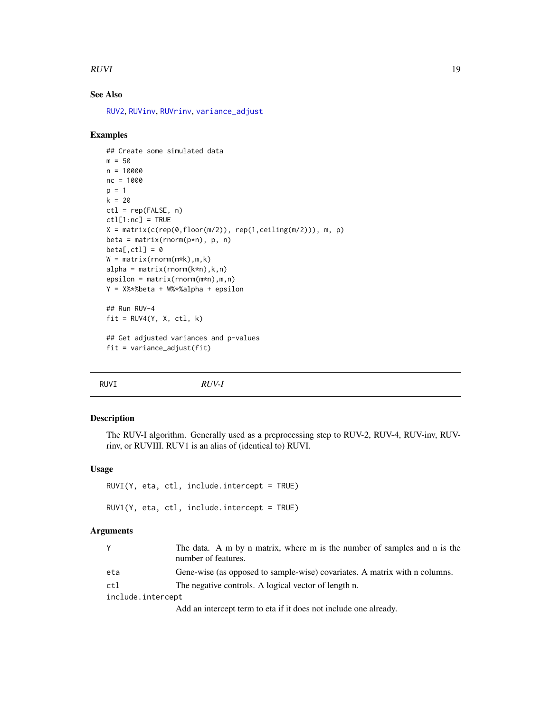#### <span id="page-18-0"></span> $RUVI$  and  $19$

# See Also

[RUV2](#page-13-1), [RUVinv](#page-21-1), [RUVrinv](#page-23-1), [variance\\_adjust](#page-39-1)

#### Examples

```
## Create some simulated data
m = 50n = 10000
nc = 1000
p = 1k = 20ctl = rep(FALSE, n)ctl[1:nc] = TRUEX = matrix(c(rep(\theta, floor(m/2)), rep(1, ceiling(m/2))), m, p)beta = matrix(rnorm(p*n), p, n)beta[,ct1] = 0W = matrix(rnorm(m*k), m, k)alpha = matrix(rnorm(k*n),k,n)epsilon = matrix(rnorm(m*n),m,n)
Y = X%*%beta + W%*%alpha + epsilon
## Run RUV-4
fit = RUV4(Y, X, ct1, k)## Get adjusted variances and p-values
```

```
fit = variance_adjust(fit)
```
<span id="page-18-1"></span>RUVI *RUV-I*

#### Description

The RUV-I algorithm. Generally used as a preprocessing step to RUV-2, RUV-4, RUV-inv, RUVrinv, or RUVIII. RUV1 is an alias of (identical to) RUVI.

#### Usage

```
RUVI(Y, eta, ctl, include.intercept = TRUE)
RUV1(Y, eta, ctl, include.intercept = TRUE)
```
#### Arguments

|                   | The data. A m by n matrix, where m is the number of samples and n is the<br>number of features. |
|-------------------|-------------------------------------------------------------------------------------------------|
| eta               | Gene-wise (as opposed to sample-wise) covariates. A matrix with n columns.                      |
| ctl               | The negative controls. A logical vector of length n.                                            |
| include.intercept |                                                                                                 |
|                   | Add on intercept to me to eta if it does not include one clusedy.                               |

Add an intercept term to eta if it does not include one already.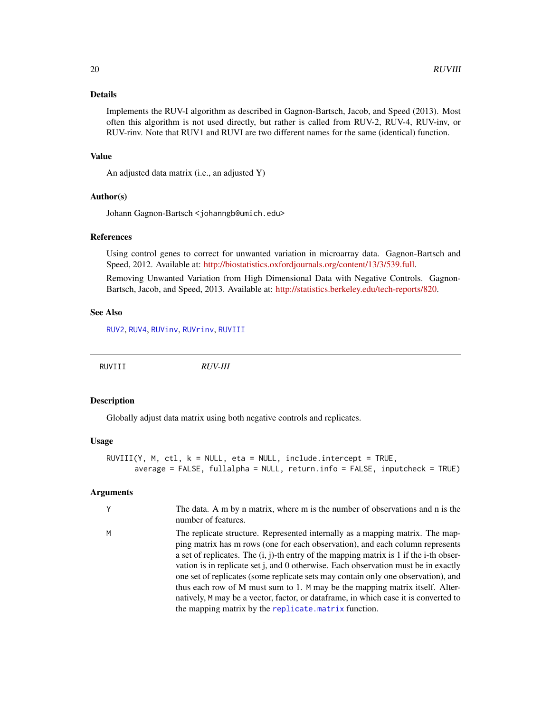#### <span id="page-19-0"></span>Details

Implements the RUV-I algorithm as described in Gagnon-Bartsch, Jacob, and Speed (2013). Most often this algorithm is not used directly, but rather is called from RUV-2, RUV-4, RUV-inv, or RUV-rinv. Note that RUV1 and RUVI are two different names for the same (identical) function.

#### Value

An adjusted data matrix (i.e., an adjusted Y)

#### Author(s)

Johann Gagnon-Bartsch <johanngb@umich.edu>

#### References

Using control genes to correct for unwanted variation in microarray data. Gagnon-Bartsch and Speed, 2012. Available at: [http://biostatistics.oxfordjournals.org/content/13/3/539.full.](http://biostatistics.oxfordjournals.org/content/13/3/539.full)

Removing Unwanted Variation from High Dimensional Data with Negative Controls. Gagnon-Bartsch, Jacob, and Speed, 2013. Available at: [http://statistics.berkeley.edu/tech-reports/820.](http://statistics.berkeley.edu/tech-reports/820)

#### See Also

[RUV2](#page-13-1), [RUV4](#page-16-1), [RUVinv](#page-21-1), [RUVrinv](#page-23-1), [RUVIII](#page-19-1)

<span id="page-19-1"></span>RUVIII *RUV-III*

#### Description

Globally adjust data matrix using both negative controls and replicates.

#### Usage

```
RUVIII(Y, M, ctl, k = NULL, eta = NULL, include.intercept = TRUE,
      average = FALSE, fullalpha = NULL, return.info = FALSE, inputcheck = TRUE)
```

| Y | The data. A m by n matrix, where m is the number of observations and n is the<br>number of features.                                                                                                                                                                                                                                                                                                                                                                                                                                                                                                                                                                   |
|---|------------------------------------------------------------------------------------------------------------------------------------------------------------------------------------------------------------------------------------------------------------------------------------------------------------------------------------------------------------------------------------------------------------------------------------------------------------------------------------------------------------------------------------------------------------------------------------------------------------------------------------------------------------------------|
| M | The replicate structure. Represented internally as a mapping matrix. The map-<br>ping matrix has m rows (one for each observation), and each column represents<br>a set of replicates. The $(i, j)$ -th entry of the mapping matrix is 1 if the i-th obser-<br>vation is in replicate set j, and 0 otherwise. Each observation must be in exactly<br>one set of replicates (some replicate sets may contain only one observation), and<br>thus each row of M must sum to 1. M may be the mapping matrix itself. Alter-<br>natively, M may be a vector, factor, or dataframe, in which case it is converted to<br>the mapping matrix by the replicate. matrix function. |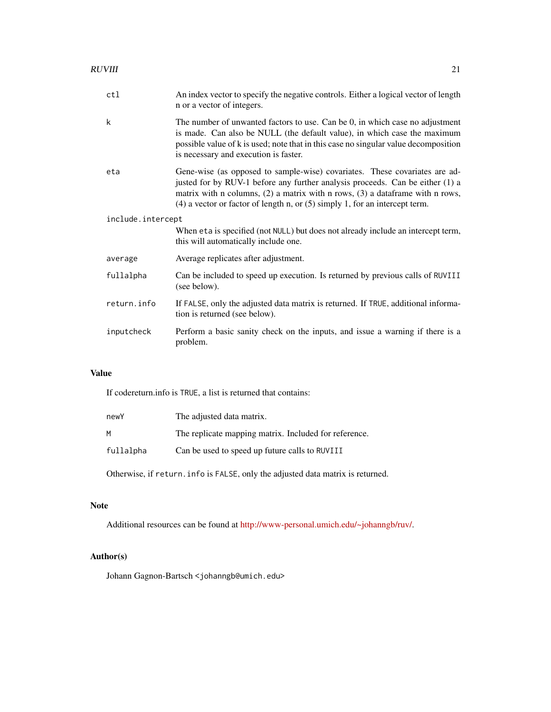| ctl               | An index vector to specify the negative controls. Either a logical vector of length<br>n or a vector of integers.                                                                                                                                                                                                                   |
|-------------------|-------------------------------------------------------------------------------------------------------------------------------------------------------------------------------------------------------------------------------------------------------------------------------------------------------------------------------------|
| k                 | The number of unwanted factors to use. Can be 0, in which case no adjustment<br>is made. Can also be NULL (the default value), in which case the maximum<br>possible value of k is used; note that in this case no singular value decomposition<br>is necessary and execution is faster.                                            |
| eta               | Gene-wise (as opposed to sample-wise) covariates. These covariates are ad-<br>justed for by RUV-1 before any further analysis proceeds. Can be either (1) a<br>matrix with n columns, $(2)$ a matrix with n rows, $(3)$ a dataframe with n rows,<br>$(4)$ a vector or factor of length n, or $(5)$ simply 1, for an intercept term. |
| include.intercept |                                                                                                                                                                                                                                                                                                                                     |
|                   | When eta is specified (not NULL) but does not already include an intercept term,<br>this will automatically include one.                                                                                                                                                                                                            |
| average           | Average replicates after adjustment.                                                                                                                                                                                                                                                                                                |
| fullalpha         | Can be included to speed up execution. Is returned by previous calls of RUVIII<br>(see below).                                                                                                                                                                                                                                      |
| return.info       | If FALSE, only the adjusted data matrix is returned. If TRUE, additional informa-<br>tion is returned (see below).                                                                                                                                                                                                                  |
| inputcheck        | Perform a basic sanity check on the inputs, and issue a warning if there is a<br>problem.                                                                                                                                                                                                                                           |

# Value

If codereturn.info is TRUE, a list is returned that contains:

| newY      | The adjusted data matrix.                             |
|-----------|-------------------------------------------------------|
| м         | The replicate mapping matrix. Included for reference. |
| fullalpha | Can be used to speed up future calls to RUVIII        |

Otherwise, if return.info is FALSE, only the adjusted data matrix is returned.

# Note

Additional resources can be found at [http://www-personal.umich.edu/~johanngb/ruv/.](http://www-personal.umich.edu/~johanngb/ruv/)

# Author(s)

Johann Gagnon-Bartsch <johanngb@umich.edu>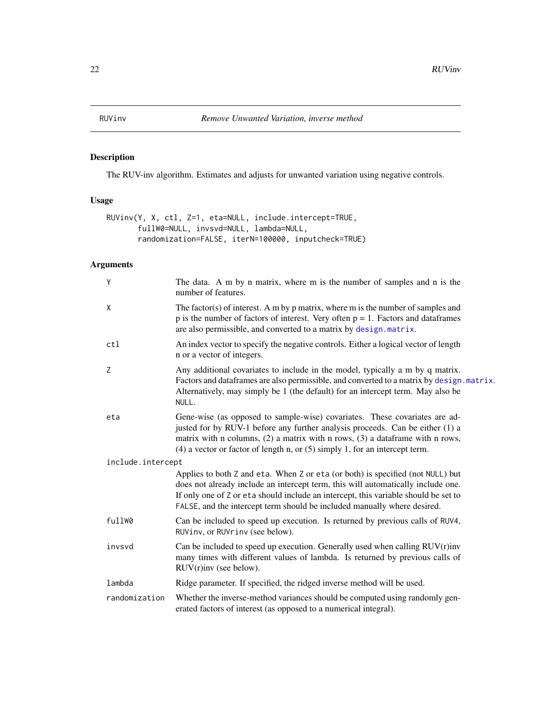# <span id="page-21-1"></span><span id="page-21-0"></span>Description

The RUV-inv algorithm. Estimates and adjusts for unwanted variation using negative controls.

# Usage

```
RUVinv(Y, X, ctl, Z=1, eta=NULL, include.intercept=TRUE,
       fullW0=NULL, invsvd=NULL, lambda=NULL,
       randomization=FALSE, iterN=100000, inputcheck=TRUE)
```

| Y                 | The data. A m by n matrix, where m is the number of samples and n is the<br>number of features.                                                                                                                                                                                                                                       |
|-------------------|---------------------------------------------------------------------------------------------------------------------------------------------------------------------------------------------------------------------------------------------------------------------------------------------------------------------------------------|
| X                 | The factor(s) of interest. A m by $p$ matrix, where m is the number of samples and<br>$p$ is the number of factors of interest. Very often $p = 1$ . Factors and data frames<br>are also permissible, and converted to a matrix by design. matrix.                                                                                    |
| ctl               | An index vector to specify the negative controls. Either a logical vector of length<br>n or a vector of integers.                                                                                                                                                                                                                     |
| Z                 | Any additional covariates to include in the model, typically a m by q matrix.<br>Factors and data frames are also permissible, and converted to a matrix by design. matrix.<br>Alternatively, may simply be 1 (the default) for an intercept term. May also be<br>NULL.                                                               |
| eta               | Gene-wise (as opposed to sample-wise) covariates. These covariates are ad-<br>justed for by RUV-1 before any further analysis proceeds. Can be either (1) a<br>matrix with n columns, $(2)$ a matrix with n rows, $(3)$ a dataframe with n rows,<br>$(4)$ a vector or factor of length n, or $(5)$ simply 1, for an intercept term.   |
| include.intercept |                                                                                                                                                                                                                                                                                                                                       |
|                   | Applies to both Z and eta. When Z or eta (or both) is specified (not NULL) but<br>does not already include an intercept term, this will automatically include one.<br>If only one of Z or eta should include an intercept, this variable should be set to<br>FALSE, and the intercept term should be included manually where desired. |
| fullW0            | Can be included to speed up execution. Is returned by previous calls of RUV4,<br>RUVinv, or RUVrinv (see below).                                                                                                                                                                                                                      |
| invsvd            | Can be included to speed up execution. Generally used when calling $RUV(r)$ inv<br>many times with different values of lambda. Is returned by previous calls of<br>$RUV(r)$ inv (see below).                                                                                                                                          |
| lambda            | Ridge parameter. If specified, the ridged inverse method will be used.                                                                                                                                                                                                                                                                |
| randomization     | Whether the inverse-method variances should be computed using randomly gen-<br>erated factors of interest (as opposed to a numerical integral).                                                                                                                                                                                       |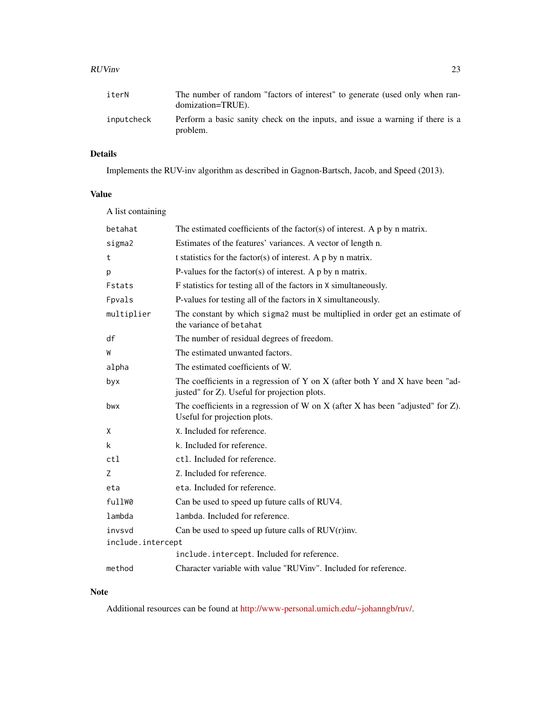#### RUVinv 23

| inputcheck | Perform a basic sanity check on the inputs, and issue a warning if there is a |
|------------|-------------------------------------------------------------------------------|
|            | problem.                                                                      |

# Details

Implements the RUV-inv algorithm as described in Gagnon-Bartsch, Jacob, and Speed (2013).

# Value

| A list containing |                                                                                                                               |
|-------------------|-------------------------------------------------------------------------------------------------------------------------------|
| betahat           | The estimated coefficients of the factor(s) of interest. A $p$ by n matrix.                                                   |
| sigma2            | Estimates of the features' variances. A vector of length n.                                                                   |
| t                 | t statistics for the factor(s) of interest. A $p$ by $n$ matrix.                                                              |
| p                 | P-values for the factor(s) of interest. A $p$ by $n$ matrix.                                                                  |
| Fstats            | F statistics for testing all of the factors in X simultaneously.                                                              |
| Fpvals            | P-values for testing all of the factors in X simultaneously.                                                                  |
| multiplier        | The constant by which sigma2 must be multiplied in order get an estimate of<br>the variance of betahat                        |
| df                | The number of residual degrees of freedom.                                                                                    |
| W                 | The estimated unwanted factors.                                                                                               |
| alpha             | The estimated coefficients of W.                                                                                              |
| byx               | The coefficients in a regression of Y on X (after both Y and X have been "ad-<br>justed" for Z). Useful for projection plots. |
| bwx               | The coefficients in a regression of W on X (after X has been "adjusted" for $Z$ ).<br>Useful for projection plots.            |
| X                 | X. Included for reference.                                                                                                    |
| k                 | k. Included for reference.                                                                                                    |
| ct1               | ct1. Included for reference.                                                                                                  |
| Z                 | Z. Included for reference.                                                                                                    |
| eta               | eta. Included for reference.                                                                                                  |
| fullW0            | Can be used to speed up future calls of RUV4.                                                                                 |
| lambda            | lambda. Included for reference.                                                                                               |
| invsvd            | Can be used to speed up future calls of $RUV(r)$ inv.                                                                         |
| include.intercept |                                                                                                                               |
|                   | include.intercept. Included for reference.                                                                                    |
| method            | Character variable with value "RUViny". Included for reference.                                                               |

#### Note

Additional resources can be found at [http://www-personal.umich.edu/~johanngb/ruv/.](http://www-personal.umich.edu/~johanngb/ruv/)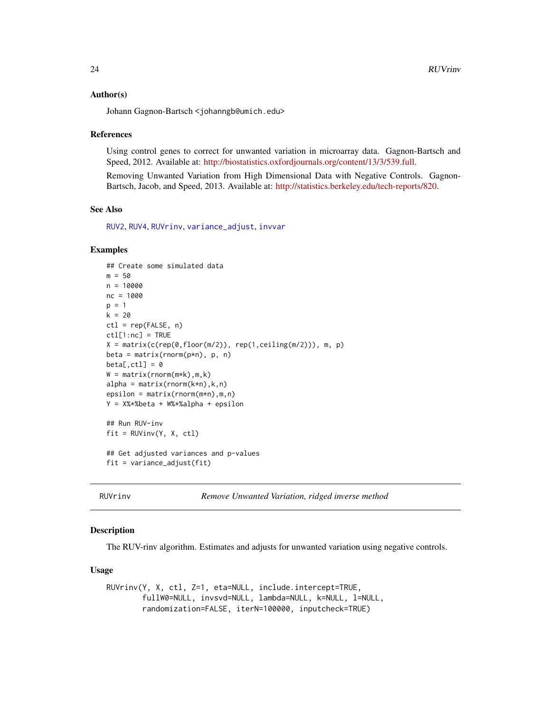#### <span id="page-23-0"></span>Author(s)

Johann Gagnon-Bartsch <johanngb@umich.edu>

#### References

Using control genes to correct for unwanted variation in microarray data. Gagnon-Bartsch and Speed, 2012. Available at: [http://biostatistics.oxfordjournals.org/content/13/3/539.full.](http://biostatistics.oxfordjournals.org/content/13/3/539.full)

Removing Unwanted Variation from High Dimensional Data with Negative Controls. Gagnon-Bartsch, Jacob, and Speed, 2013. Available at: [http://statistics.berkeley.edu/tech-reports/820.](http://statistics.berkeley.edu/tech-reports/820)

#### See Also

[RUV2](#page-13-1), [RUV4](#page-16-1), [RUVrinv](#page-23-1), [variance\\_adjust](#page-39-1), [invvar](#page-8-1)

#### Examples

```
## Create some simulated data
m = 50n = 10000
nc = 1000
p = 1k = 20ctl = rep(FALSE, n)
ctl[1:nc] = TRUE
X = matrix(c(rep(\theta, floor(m/2)), rep(1, ceiling(m/2))), m, p)beta = matrix(rnorm(p*n), p, n)
beta[, ctl] = 0W = matrix(rnorm(m*k), m, k)alpha = matrix(rnorm(k*n),k,n)epsilon = matrix(rnorm(m*n),m,n)
Y = X%*%beta + W%*%alpha + epsilon
## Run RUV-inv
fit = RUVinv(Y, X, ctl)
## Get adjusted variances and p-values
fit = variance_adjust(fit)
```
<span id="page-23-1"></span>RUVrinv *Remove Unwanted Variation, ridged inverse method*

#### **Description**

The RUV-rinv algorithm. Estimates and adjusts for unwanted variation using negative controls.

#### Usage

RUVrinv(Y, X, ctl, Z=1, eta=NULL, include.intercept=TRUE, fullW0=NULL, invsvd=NULL, lambda=NULL, k=NULL, l=NULL, randomization=FALSE, iterN=100000, inputcheck=TRUE)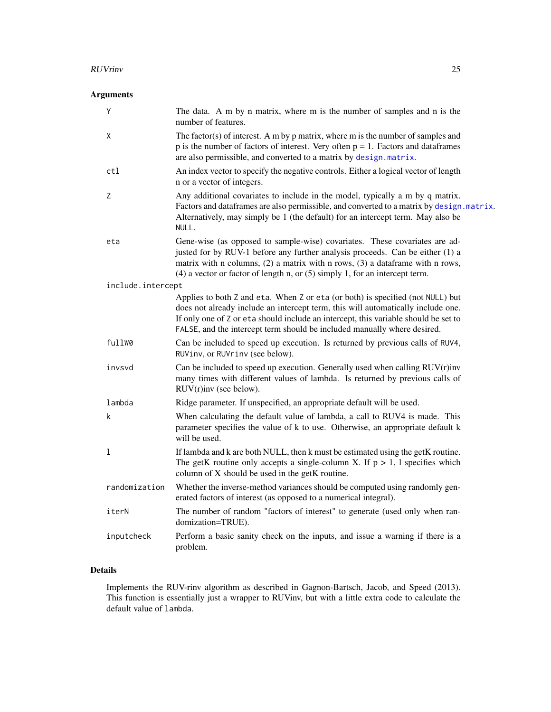#### <span id="page-24-0"></span>RUVrinv 25

# Arguments

| Y                 | The data. A m by n matrix, where m is the number of samples and n is the<br>number of features.                                                                                                                                                                                                                                       |
|-------------------|---------------------------------------------------------------------------------------------------------------------------------------------------------------------------------------------------------------------------------------------------------------------------------------------------------------------------------------|
| Χ                 | The factor(s) of interest. A m by $p$ matrix, where $m$ is the number of samples and<br>$p$ is the number of factors of interest. Very often $p = 1$ . Factors and data frames<br>are also permissible, and converted to a matrix by design.matrix.                                                                                   |
| ctl               | An index vector to specify the negative controls. Either a logical vector of length<br>n or a vector of integers.                                                                                                                                                                                                                     |
| Z                 | Any additional covariates to include in the model, typically a m by q matrix.<br>Factors and data frames are also permissible, and converted to a matrix by design. matrix.<br>Alternatively, may simply be 1 (the default) for an intercept term. May also be<br>NULL.                                                               |
| eta               | Gene-wise (as opposed to sample-wise) covariates. These covariates are ad-<br>justed for by RUV-1 before any further analysis proceeds. Can be either (1) a<br>matrix with n columns, $(2)$ a matrix with n rows, $(3)$ a dataframe with n rows,<br>$(4)$ a vector or factor of length n, or $(5)$ simply 1, for an intercept term.   |
| include.intercept |                                                                                                                                                                                                                                                                                                                                       |
|                   | Applies to both Z and eta. When Z or eta (or both) is specified (not NULL) but<br>does not already include an intercept term, this will automatically include one.<br>If only one of Z or eta should include an intercept, this variable should be set to<br>FALSE, and the intercept term should be included manually where desired. |
| fullW0            | Can be included to speed up execution. Is returned by previous calls of RUV4,<br>RUVinv, or RUVrinv (see below).                                                                                                                                                                                                                      |
| invsvd            | Can be included to speed up execution. Generally used when calling RUV(r)inv<br>many times with different values of lambda. Is returned by previous calls of<br>$RUV(r)$ inv (see below).                                                                                                                                             |
| lambda            | Ridge parameter. If unspecified, an appropriate default will be used.                                                                                                                                                                                                                                                                 |
| k                 | When calculating the default value of lambda, a call to RUV4 is made. This<br>parameter specifies the value of k to use. Otherwise, an appropriate default k<br>will be used.                                                                                                                                                         |
| 1                 | If lambda and k are both NULL, then k must be estimated using the getK routine.<br>The getK routine only accepts a single-column X. If $p > 1$ , 1 specifies which<br>column of X should be used in the getK routine.                                                                                                                 |
| randomization     | Whether the inverse-method variances should be computed using randomly gen-<br>erated factors of interest (as opposed to a numerical integral).                                                                                                                                                                                       |
| iterN             | The number of random "factors of interest" to generate (used only when ran-<br>domization=TRUE).                                                                                                                                                                                                                                      |
| inputcheck        | Perform a basic sanity check on the inputs, and issue a warning if there is a<br>problem.                                                                                                                                                                                                                                             |

# Details

Implements the RUV-rinv algorithm as described in Gagnon-Bartsch, Jacob, and Speed (2013). This function is essentially just a wrapper to RUVinv, but with a little extra code to calculate the default value of lambda.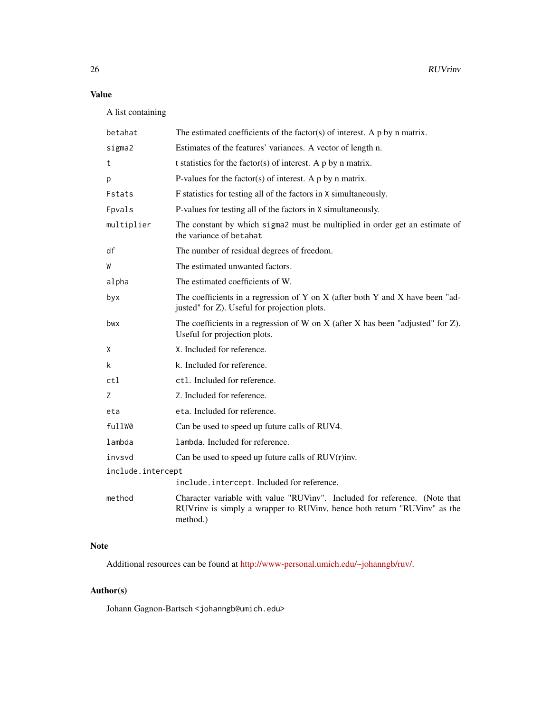# Value

A list containing

| betahat           | The estimated coefficients of the factor(s) of interest. A $p$ by $n$ matrix.                                                                                      |
|-------------------|--------------------------------------------------------------------------------------------------------------------------------------------------------------------|
| sigma2            | Estimates of the features' variances. A vector of length n.                                                                                                        |
| t                 | t statistics for the factor(s) of interest. A $p$ by $n$ matrix.                                                                                                   |
| р                 | P-values for the factor(s) of interest. A $p$ by n matrix.                                                                                                         |
| Fstats            | F statistics for testing all of the factors in X simultaneously.                                                                                                   |
| Fpvals            | P-values for testing all of the factors in X simultaneously.                                                                                                       |
| multiplier        | The constant by which sigma2 must be multiplied in order get an estimate of<br>the variance of betahat                                                             |
| df                | The number of residual degrees of freedom.                                                                                                                         |
| W                 | The estimated unwanted factors.                                                                                                                                    |
| alpha             | The estimated coefficients of W.                                                                                                                                   |
| byx               | The coefficients in a regression of Y on X (after both Y and X have been "ad-<br>justed" for Z). Useful for projection plots.                                      |
| bwx               | The coefficients in a regression of W on X (after X has been "adjusted" for $Z$ ).<br>Useful for projection plots.                                                 |
| Χ                 | X. Included for reference.                                                                                                                                         |
| k                 | k. Included for reference.                                                                                                                                         |
| ctl               | ctl. Included for reference.                                                                                                                                       |
| Ζ                 | Z. Included for reference.                                                                                                                                         |
| eta               | eta. Included for reference.                                                                                                                                       |
| fullW0            | Can be used to speed up future calls of RUV4.                                                                                                                      |
| lambda            | lambda. Included for reference.                                                                                                                                    |
| invsvd            | Can be used to speed up future calls of $RUV(r)$ inv.                                                                                                              |
| include.intercept |                                                                                                                                                                    |
|                   | include.intercept. Included for reference.                                                                                                                         |
| method            | Character variable with value "RUVinv". Included for reference. (Note that<br>RUVrinv is simply a wrapper to RUVinv, hence both return "RUVinv" as the<br>method.) |

#### Note

Additional resources can be found at [http://www-personal.umich.edu/~johanngb/ruv/.](http://www-personal.umich.edu/~johanngb/ruv/)

# Author(s)

Johann Gagnon-Bartsch <johanngb@umich.edu>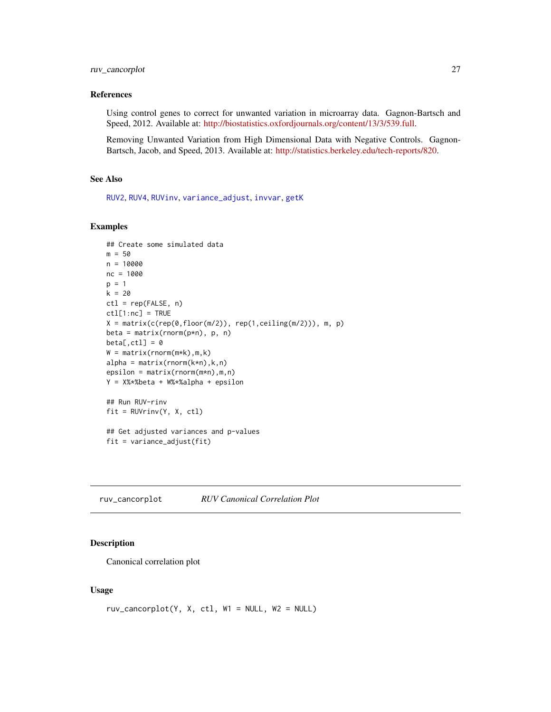# <span id="page-26-0"></span>ruv\_cancorplot 27

#### References

Using control genes to correct for unwanted variation in microarray data. Gagnon-Bartsch and Speed, 2012. Available at: [http://biostatistics.oxfordjournals.org/content/13/3/539.full.](http://biostatistics.oxfordjournals.org/content/13/3/539.full)

Removing Unwanted Variation from High Dimensional Data with Negative Controls. Gagnon-Bartsch, Jacob, and Speed, 2013. Available at: [http://statistics.berkeley.edu/tech-reports/820.](http://statistics.berkeley.edu/tech-reports/820)

#### See Also

[RUV2](#page-13-1), [RUV4](#page-16-1), [RUVinv](#page-21-1), [variance\\_adjust](#page-39-1), [invvar](#page-8-1), [getK](#page-4-1)

#### Examples

```
## Create some simulated data
m = 50n = 10000nc = 1000
p = 1k = 20ctl = rep(FALSE, n)ctl[1:nc] = TRUEX = matrix(c(rep(\theta, floor(m/2)), rep(1, ceiling(m/2))), m, p)beta = matrix(rnorm(p*n), p, n)beta[, ctl] = 0W = matrix(rnorm(m*k), m, k)alpha = matrix(rnorm(k*n),k,n)epsilon = matrix(rnorm(m*n), m, n)Y = X%*%beta + W%*%alpha + epsilon
## Run RUV-rinv
fit = RUVrinv(Y, X, ctl)
## Get adjusted variances and p-values
fit = variance_adjust(fit)
```
ruv\_cancorplot *RUV Canonical Correlation Plot*

#### Description

Canonical correlation plot

#### Usage

```
ruv\_cancorplot(Y, X, ct1, W1 = NULL, W2 = NULL)
```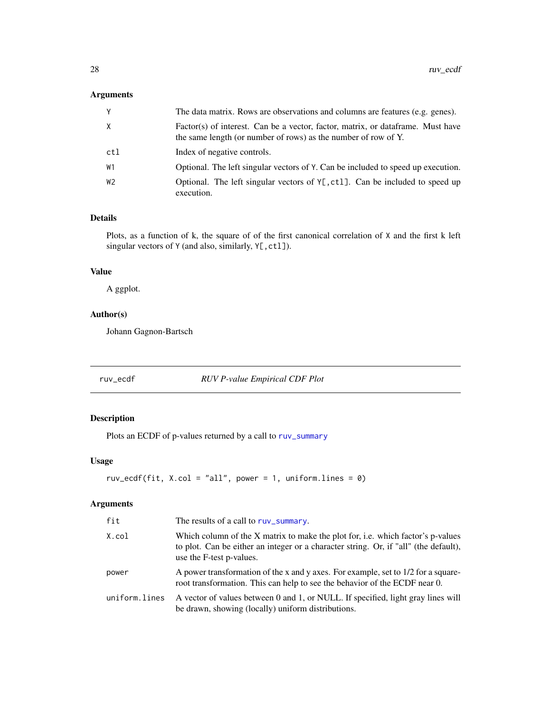#### <span id="page-27-0"></span>Arguments

| V   | The data matrix. Rows are observations and columns are features (e.g. genes).                                                                     |
|-----|---------------------------------------------------------------------------------------------------------------------------------------------------|
| Χ   | Factor(s) of interest. Can be a vector, factor, matrix, or dataframe. Must have<br>the same length (or number of rows) as the number of row of Y. |
| ctl | Index of negative controls.                                                                                                                       |
| W1  | Optional. The left singular vectors of Y. Can be included to speed up execution.                                                                  |
| W2  | Optional. The left singular vectors of $Y[\, , ct]$ . Can be included to speed up<br>execution.                                                   |

# Details

Plots, as a function of k, the square of of the first canonical correlation of X and the first k left singular vectors of Y (and also, similarly, Y[, ctl]).

#### Value

A ggplot.

# Author(s)

Johann Gagnon-Bartsch

ruv\_ecdf *RUV P-value Empirical CDF Plot*

# Description

Plots an ECDF of p-values returned by a call to [ruv\\_summary](#page-33-1)

#### Usage

```
ruv_ecdf(fit, X.col = "all", power = 1, uniformlines = 0)
```

| fit           | The results of a call to ruv_summary.                                                                                                                                                               |
|---------------|-----------------------------------------------------------------------------------------------------------------------------------------------------------------------------------------------------|
| X.col         | Which column of the X matrix to make the plot for, i.e. which factor's p-values<br>to plot. Can be either an integer or a character string. Or, if "all" (the default),<br>use the F-test p-values. |
| power         | A power transformation of the x and y axes. For example, set to 1/2 for a square-<br>root transformation. This can help to see the behavior of the ECDF near 0.                                     |
| uniform.lines | A vector of values between 0 and 1, or NULL. If specified, light gray lines will<br>be drawn, showing (locally) uniform distributions.                                                              |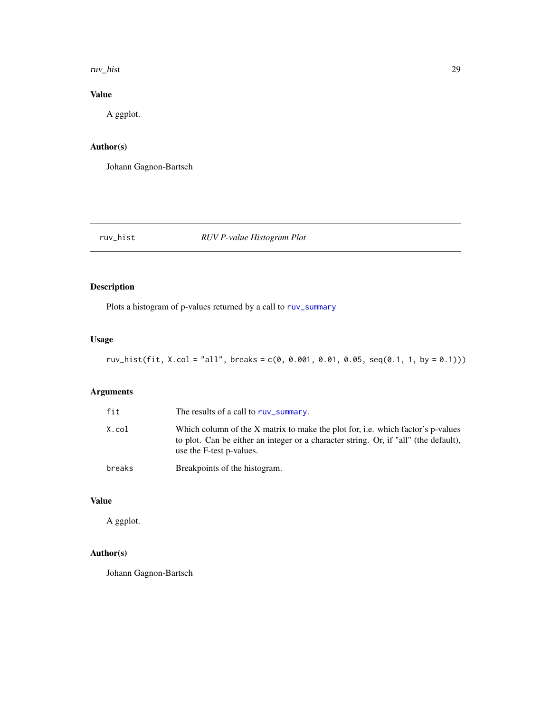#### <span id="page-28-0"></span>ruv\_hist 29

# Value

A ggplot.

# Author(s)

Johann Gagnon-Bartsch

# ruv\_hist *RUV P-value Histogram Plot*

# Description

Plots a histogram of p-values returned by a call to [ruv\\_summary](#page-33-1)

# Usage

```
ruv_hist(fit, X.col = "all", breaks = c(0, 0.001, 0.01, 0.05, seq(0.1, 1, by = 0.1)))
```
# Arguments

| fit    | The results of a call to ruy_summary.                                                                                                                                                               |
|--------|-----------------------------------------------------------------------------------------------------------------------------------------------------------------------------------------------------|
| X.col  | Which column of the X matrix to make the plot for, i.e. which factor's p-values<br>to plot. Can be either an integer or a character string. Or, if "all" (the default),<br>use the F-test p-values. |
| breaks | Breakpoints of the histogram.                                                                                                                                                                       |

# Value

A ggplot.

# Author(s)

Johann Gagnon-Bartsch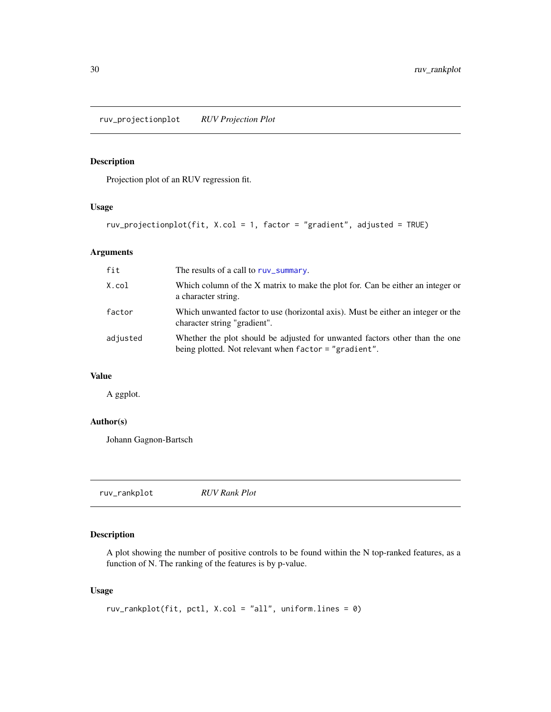<span id="page-29-0"></span>ruv\_projectionplot *RUV Projection Plot*

# Description

Projection plot of an RUV regression fit.

# Usage

ruv\_projectionplot(fit, X.col = 1, factor = "gradient", adjusted = TRUE)

# Arguments

| fit      | The results of a call to ruv_summary.                                                                                                |
|----------|--------------------------------------------------------------------------------------------------------------------------------------|
| X.col    | Which column of the X matrix to make the plot for. Can be either an integer or<br>a character string.                                |
| factor   | Which unwanted factor to use (horizontal axis). Must be either an integer or the<br>character string "gradient".                     |
| adjusted | Whether the plot should be adjusted for unwanted factors other than the one<br>being plotted. Not relevant when factor = "gradient". |

# Value

A ggplot.

# Author(s)

Johann Gagnon-Bartsch

ruv\_rankplot *RUV Rank Plot*

# Description

A plot showing the number of positive controls to be found within the N top-ranked features, as a function of N. The ranking of the features is by p-value.

#### Usage

```
ruv_rankplot(fit, pctl, X.col = "all", uniform.lines = 0)
```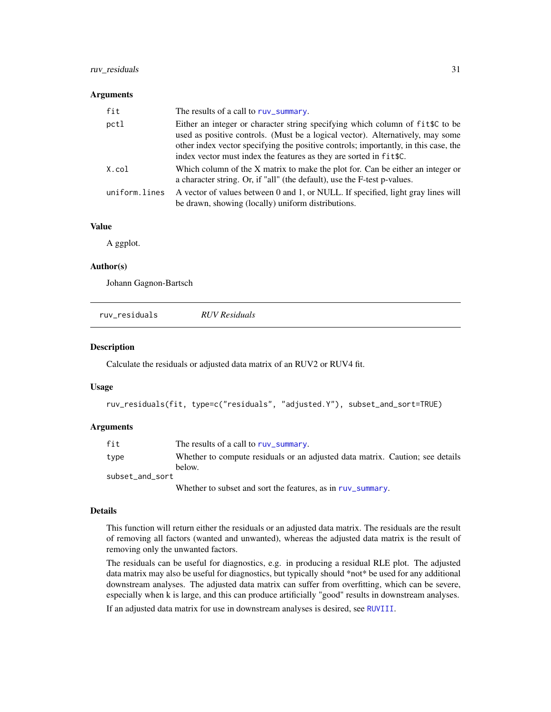#### <span id="page-30-0"></span>ruv\_residuals 31

#### **Arguments**

| fit           | The results of a call to ruy_summary.                                                                                                                                                                                                                                                                                       |
|---------------|-----------------------------------------------------------------------------------------------------------------------------------------------------------------------------------------------------------------------------------------------------------------------------------------------------------------------------|
| pctl          | Either an integer or character string specifying which column of fit \$C to be<br>used as positive controls. (Must be a logical vector). Alternatively, may some<br>other index vector specifying the positive controls; importantly, in this case, the<br>index vector must index the features as they are sorted in fitt. |
| X.col         | Which column of the X matrix to make the plot for. Can be either an integer or<br>a character string. Or, if "all" (the default), use the F-test p-values.                                                                                                                                                                  |
| uniform.lines | A vector of values between 0 and 1, or NULL. If specified, light gray lines will<br>be drawn, showing (locally) uniform distributions.                                                                                                                                                                                      |

### Value

A ggplot.

#### Author(s)

Johann Gagnon-Bartsch

| ruv residuals | <b>RUV</b> Residuals |  |  |
|---------------|----------------------|--|--|
|---------------|----------------------|--|--|

#### Description

Calculate the residuals or adjusted data matrix of an RUV2 or RUV4 fit.

#### Usage

```
ruv_residuals(fit, type=c("residuals", "adjusted.Y"), subset_and_sort=TRUE)
```
#### **Arguments**

| fit             | The results of a call to ruy summary.                                         |
|-----------------|-------------------------------------------------------------------------------|
| type            | Whether to compute residuals or an adjusted data matrix. Caution; see details |
|                 | helow.                                                                        |
| subset and sort |                                                                               |
|                 |                                                                               |

Whether to subset and sort the features, as in [ruv\\_summary](#page-33-1).

#### Details

This function will return either the residuals or an adjusted data matrix. The residuals are the result of removing all factors (wanted and unwanted), whereas the adjusted data matrix is the result of removing only the unwanted factors.

The residuals can be useful for diagnostics, e.g. in producing a residual RLE plot. The adjusted data matrix may also be useful for diagnostics, but typically should \*not\* be used for any additional downstream analyses. The adjusted data matrix can suffer from overfitting, which can be severe, especially when k is large, and this can produce artificially "good" results in downstream analyses.

If an adjusted data matrix for use in downstream analyses is desired, see [RUVIII](#page-19-1).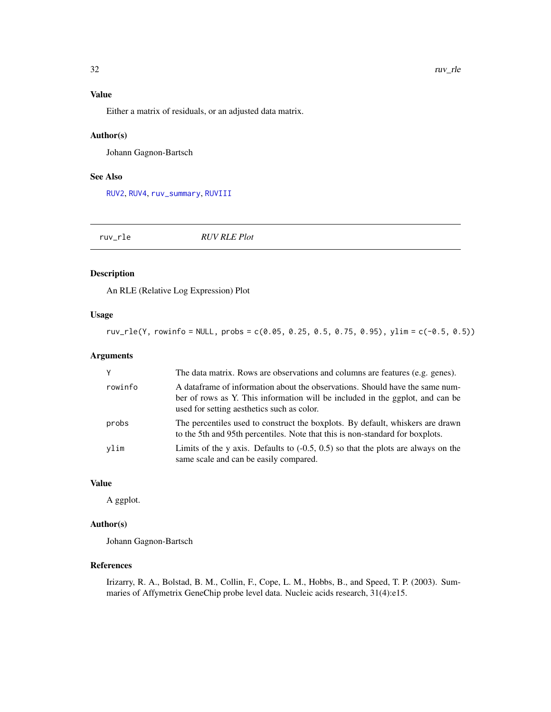# <span id="page-31-0"></span>Value

Either a matrix of residuals, or an adjusted data matrix.

#### Author(s)

Johann Gagnon-Bartsch

#### See Also

[RUV2](#page-13-1), [RUV4](#page-16-1), [ruv\\_summary](#page-33-1), [RUVIII](#page-19-1)

| ruv_rle | <b>RUV RLE Plot</b> |
|---------|---------------------|
|         |                     |

# Description

An RLE (Relative Log Expression) Plot

# Usage

 $ruv_{\text{r}}$ le(Y, rowinfo = NULL, probs = c(0.05, 0.25, 0.5, 0.75, 0.95), ylim = c(-0.5, 0.5))

# Arguments

|         | The data matrix. Rows are observations and columns are features (e.g. genes).                                                                                                                                |
|---------|--------------------------------------------------------------------------------------------------------------------------------------------------------------------------------------------------------------|
| rowinfo | A data frame of information about the observations. Should have the same num-<br>ber of rows as Y. This information will be included in the ggplot, and can be<br>used for setting aesthetics such as color. |
| probs   | The percentiles used to construct the boxplots. By default, whiskers are drawn<br>to the 5th and 95th percentiles. Note that this is non-standard for boxplots.                                              |
| vlim    | Limits of the y axis. Defaults to $(-0.5, 0.5)$ so that the plots are always on the<br>same scale and can be easily compared.                                                                                |

#### Value

A ggplot.

#### Author(s)

Johann Gagnon-Bartsch

#### References

Irizarry, R. A., Bolstad, B. M., Collin, F., Cope, L. M., Hobbs, B., and Speed, T. P. (2003). Summaries of Affymetrix GeneChip probe level data. Nucleic acids research, 31(4):e15.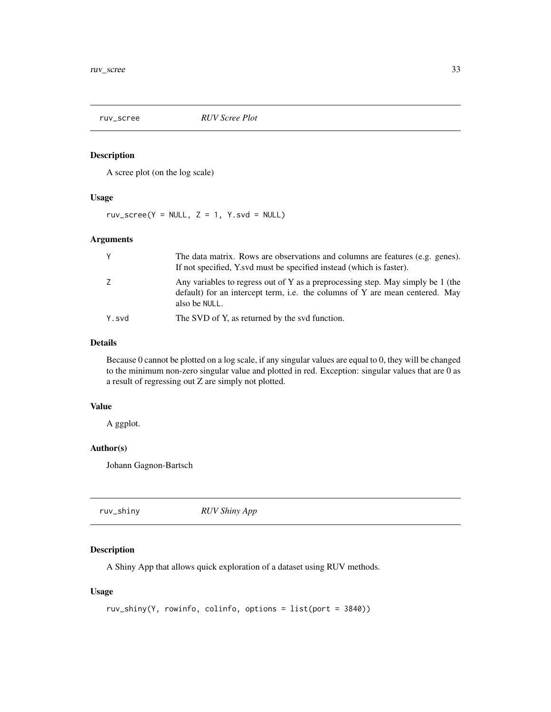<span id="page-32-0"></span>

# Description

A scree plot (on the log scale)

# Usage

ruv\_scree(Y = NULL,  $Z = 1$ , Y.svd = NULL)

#### Arguments

|       | The data matrix. Rows are observations and columns are features (e.g. genes).<br>If not specified, Y.svd must be specified instead (which is faster).                            |
|-------|----------------------------------------------------------------------------------------------------------------------------------------------------------------------------------|
|       | Any variables to regress out of Y as a preprocessing step. May simply be 1 (the<br>default) for an intercept term, i.e. the columns of Y are mean centered. May<br>also be NULL. |
| Y.svd | The SVD of Y, as returned by the svd function.                                                                                                                                   |

#### Details

Because 0 cannot be plotted on a log scale, if any singular values are equal to 0, they will be changed to the minimum non-zero singular value and plotted in red. Exception: singular values that are 0 as a result of regressing out Z are simply not plotted.

#### Value

A ggplot.

#### Author(s)

Johann Gagnon-Bartsch

| ruv_shiny | <b>RUV Shiny App</b> |  |
|-----------|----------------------|--|
|-----------|----------------------|--|

# Description

A Shiny App that allows quick exploration of a dataset using RUV methods.

# Usage

```
ruv_shiny(Y, rowinfo, colinfo, options = list(port = 3840))
```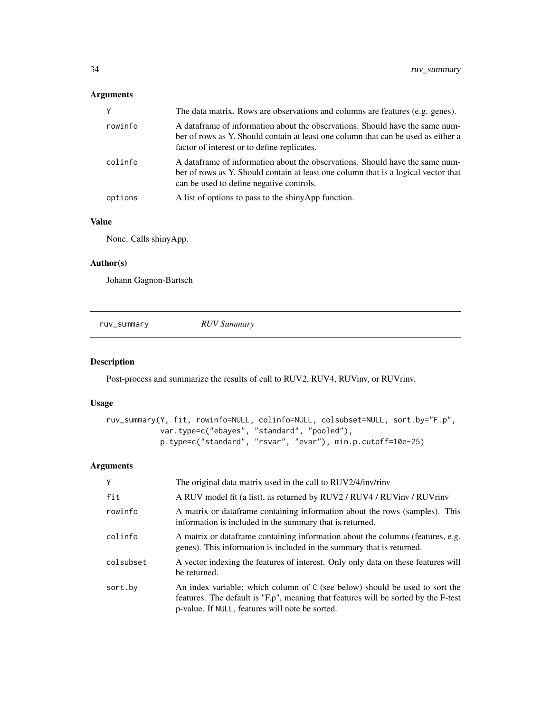# <span id="page-33-0"></span>Arguments

| Y       | The data matrix. Rows are observations and columns are features (e.g. genes).                                                                                                                                    |
|---------|------------------------------------------------------------------------------------------------------------------------------------------------------------------------------------------------------------------|
| rowinfo | A dataframe of information about the observations. Should have the same num-<br>ber of rows as Y. Should contain at least one column that can be used as either a<br>factor of interest or to define replicates. |
| colinfo | A dataframe of information about the observations. Should have the same num-<br>ber of rows as Y. Should contain at least one column that is a logical vector that<br>can be used to define negative controls.   |
| options | A list of options to pass to the shiny App function.                                                                                                                                                             |
|         |                                                                                                                                                                                                                  |

# Value

None. Calls shinyApp.

#### Author(s)

Johann Gagnon-Bartsch

<span id="page-33-1"></span>ruv\_summary *RUV Summary*

# Description

Post-process and summarize the results of call to RUV2, RUV4, RUVinv, or RUVrinv.

#### Usage

```
ruv_summary(Y, fit, rowinfo=NULL, colinfo=NULL, colsubset=NULL, sort.by="F.p",
            var.type=c("ebayes", "standard", "pooled"),
            p.type=c("standard", "rsvar", "evar"), min.p.cutoff=10e-25)
```

| Y         | The original data matrix used in the call to RUV2/4/inv/rinv                                                                                                                                                         |
|-----------|----------------------------------------------------------------------------------------------------------------------------------------------------------------------------------------------------------------------|
| fit       | A RUV model fit (a list), as returned by RUV2 / RUV4 / RUVinv / RUVrinv                                                                                                                                              |
| rowinfo   | A matrix or data frame containing information about the rows (samples). This<br>information is included in the summary that is returned.                                                                             |
| colinfo   | A matrix or data frame containing information about the columns (features, e.g.<br>genes). This information is included in the summary that is returned.                                                             |
| colsubset | A vector indexing the features of interest. Only only data on these features will<br>be returned.                                                                                                                    |
| sort.by   | An index variable; which column of C (see below) should be used to sort the<br>features. The default is "F.p", meaning that features will be sorted by the F-test<br>p-value. If NULL, features will note be sorted. |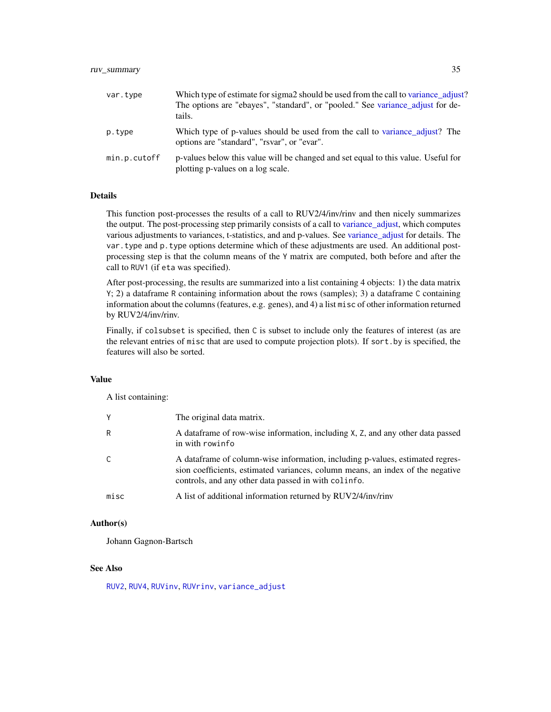# <span id="page-34-0"></span>ruv\_summary 35

| var.type     | Which type of estimate for sigma2 should be used from the call to variance adjust?<br>The options are "ebayes", "standard", or "pooled." See variance adjust for de-<br>tails. |
|--------------|--------------------------------------------------------------------------------------------------------------------------------------------------------------------------------|
| p.type       | Which type of p-values should be used from the call to variance adjust? The<br>options are "standard", "rsvar", or "evar".                                                     |
| min.p.cutoff | p-values below this value will be changed and set equal to this value. Useful for<br>plotting p-values on a log scale.                                                         |

#### **Details**

This function post-processes the results of a call to RUV2/4/inv/rinv and then nicely summarizes the output. The post-processing step primarily consists of a call to [variance\\_adjust,](#page-39-1) which computes various adjustments to variances, t-statistics, and and p-values. See [variance\\_adjust](#page-39-1) for details. The var.type and p.type options determine which of these adjustments are used. An additional postprocessing step is that the column means of the Y matrix are computed, both before and after the call to RUV1 (if eta was specified).

After post-processing, the results are summarized into a list containing 4 objects: 1) the data matrix Y; 2) a dataframe R containing information about the rows (samples); 3) a dataframe C containing information about the columns (features, e.g. genes), and 4) a list misc of other information returned by RUV2/4/inv/rinv.

Finally, if colsubset is specified, then C is subset to include only the features of interest (as are the relevant entries of misc that are used to compute projection plots). If sort.by is specified, the features will also be sorted.

#### Value

A list containing:

| Y    | The original data matrix.                                                                                                                                                                                                |
|------|--------------------------------------------------------------------------------------------------------------------------------------------------------------------------------------------------------------------------|
| R    | A data frame of row-wise information, including X, Z, and any other data passed<br>in with rowinfo                                                                                                                       |
| C    | A data frame of column-wise information, including p-values, estimated regres-<br>sion coefficients, estimated variances, column means, an index of the negative<br>controls, and any other data passed in with colinfo. |
| misc | A list of additional information returned by RUV2/4/inv/rinv                                                                                                                                                             |

#### Author(s)

Johann Gagnon-Bartsch

#### See Also

[RUV2](#page-13-1), [RUV4](#page-16-1), [RUVinv](#page-21-1), [RUVrinv](#page-23-1), [variance\\_adjust](#page-39-1)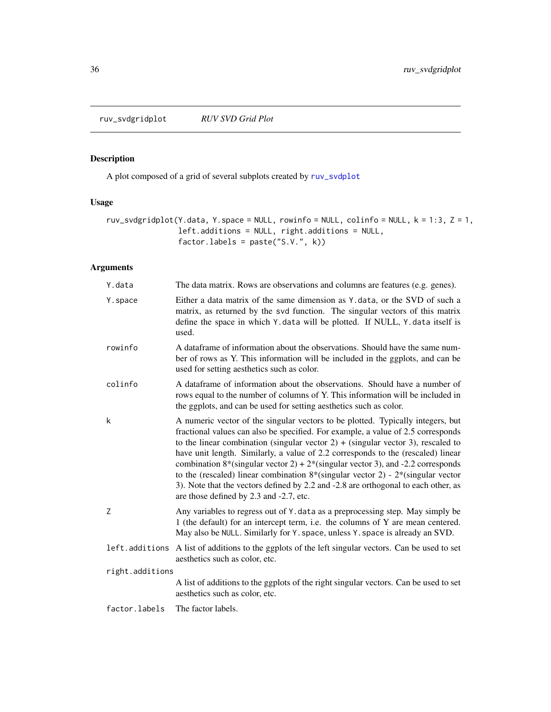<span id="page-35-0"></span>ruv\_svdgridplot *RUV SVD Grid Plot*

# Description

A plot composed of a grid of several subplots created by [ruv\\_svdplot](#page-36-1)

# Usage

```
ruv_svdgridplot(Y.data, Y.space = NULL, rowinfo = NULL, colinfo = NULL, k = 1:3, Z = 1,
                left.additions = NULL, right.additions = NULL,
                factor.labels = paste("S.V.", k))
```

| Y.data          | The data matrix. Rows are observations and columns are features (e.g. genes).                                                                                                                                                                                                                                                                                                                                                                                                                                                                                                                                                                                                          |
|-----------------|----------------------------------------------------------------------------------------------------------------------------------------------------------------------------------------------------------------------------------------------------------------------------------------------------------------------------------------------------------------------------------------------------------------------------------------------------------------------------------------------------------------------------------------------------------------------------------------------------------------------------------------------------------------------------------------|
| Y.space         | Either a data matrix of the same dimension as Y. data, or the SVD of such a<br>matrix, as returned by the svd function. The singular vectors of this matrix<br>define the space in which Y.data will be plotted. If NULL, Y.data itself is<br>used.                                                                                                                                                                                                                                                                                                                                                                                                                                    |
| rowinfo         | A dataframe of information about the observations. Should have the same num-<br>ber of rows as Y. This information will be included in the ggplots, and can be<br>used for setting aesthetics such as color.                                                                                                                                                                                                                                                                                                                                                                                                                                                                           |
| colinfo         | A data frame of information about the observations. Should have a number of<br>rows equal to the number of columns of Y. This information will be included in<br>the ggplots, and can be used for setting aesthetics such as color.                                                                                                                                                                                                                                                                                                                                                                                                                                                    |
| k               | A numeric vector of the singular vectors to be plotted. Typically integers, but<br>fractional values can also be specified. For example, a value of 2.5 corresponds<br>to the linear combination (singular vector 2) + (singular vector 3), rescaled to<br>have unit length. Similarly, a value of 2.2 corresponds to the (rescaled) linear<br>combination $8*(\text{singular vector } 2) + 2*(\text{singular vector } 3)$ , and -2.2 corresponds<br>to the (rescaled) linear combination $8*(\text{singular vector 2}) - 2*(\text{singular vector})$<br>3). Note that the vectors defined by 2.2 and -2.8 are orthogonal to each other, as<br>are those defined by 2.3 and -2.7, etc. |
| Z               | Any variables to regress out of Y. data as a preprocessing step. May simply be<br>1 (the default) for an intercept term, i.e. the columns of Y are mean centered.<br>May also be NULL. Similarly for Y. space, unless Y. space is already an SVD.                                                                                                                                                                                                                                                                                                                                                                                                                                      |
|                 | left additions A list of additions to the ggplots of the left singular vectors. Can be used to set<br>aesthetics such as color, etc.                                                                                                                                                                                                                                                                                                                                                                                                                                                                                                                                                   |
| right.additions |                                                                                                                                                                                                                                                                                                                                                                                                                                                                                                                                                                                                                                                                                        |
|                 | A list of additions to the ggplots of the right singular vectors. Can be used to set<br>aesthetics such as color, etc.                                                                                                                                                                                                                                                                                                                                                                                                                                                                                                                                                                 |
| factor.labels   | The factor labels.                                                                                                                                                                                                                                                                                                                                                                                                                                                                                                                                                                                                                                                                     |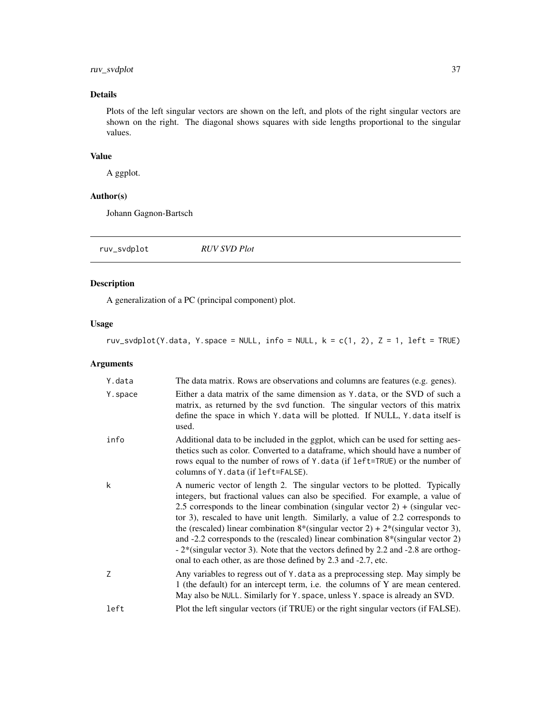# <span id="page-36-0"></span>ruv\_svdplot 37

# Details

Plots of the left singular vectors are shown on the left, and plots of the right singular vectors are shown on the right. The diagonal shows squares with side lengths proportional to the singular values.

#### Value

A ggplot.

#### Author(s)

Johann Gagnon-Bartsch

<span id="page-36-1"></span>ruv\_svdplot *RUV SVD Plot*

#### Description

A generalization of a PC (principal component) plot.

#### Usage

ruv\_svdplot(Y.data, Y.space = NULL, info = NULL,  $k = c(1, 2)$ ,  $Z = 1$ , left = TRUE)

| Y.data   | The data matrix. Rows are observations and columns are features (e.g. genes).                                                                                                                                                                                                                                                                                                                                                                                                                                                                                                                                                                                                                                |
|----------|--------------------------------------------------------------------------------------------------------------------------------------------------------------------------------------------------------------------------------------------------------------------------------------------------------------------------------------------------------------------------------------------------------------------------------------------------------------------------------------------------------------------------------------------------------------------------------------------------------------------------------------------------------------------------------------------------------------|
| Y. space | Either a data matrix of the same dimension as Y data, or the SVD of such a<br>matrix, as returned by the svd function. The singular vectors of this matrix<br>define the space in which Y. data will be plotted. If NULL, Y. data itself is<br>used.                                                                                                                                                                                                                                                                                                                                                                                                                                                         |
| info     | Additional data to be included in the ggplot, which can be used for setting aes-<br>thetics such as color. Converted to a data frame, which should have a number of<br>rows equal to the number of rows of Y. data (if left=TRUE) or the number of<br>columns of Y. data (if left=FALSE).                                                                                                                                                                                                                                                                                                                                                                                                                    |
| k        | A numeric vector of length 2. The singular vectors to be plotted. Typically<br>integers, but fractional values can also be specified. For example, a value of<br>2.5 corresponds to the linear combination (singular vector $2$ ) + (singular vec-<br>tor 3), rescaled to have unit length. Similarly, a value of 2.2 corresponds to<br>the (rescaled) linear combination $8*(\text{singular vector 2}) + 2*(\text{singular vector 3}),$<br>and -2.2 corresponds to the (rescaled) linear combination $8*(\text{singular vector 2})$<br>$-2$ <sup>*</sup> (singular vector 3). Note that the vectors defined by 2.2 and $-2.8$ are orthog-<br>onal to each other, as are those defined by 2.3 and -2.7, etc. |
| 7        | Any variables to regress out of Y. data as a preprocessing step. May simply be<br>1 (the default) for an intercept term, i.e. the columns of Y are mean centered.<br>May also be NULL. Similarly for Y. space, unless Y. space is already an SVD.                                                                                                                                                                                                                                                                                                                                                                                                                                                            |
| left     | Plot the left singular vectors (if TRUE) or the right singular vectors (if FALSE).                                                                                                                                                                                                                                                                                                                                                                                                                                                                                                                                                                                                                           |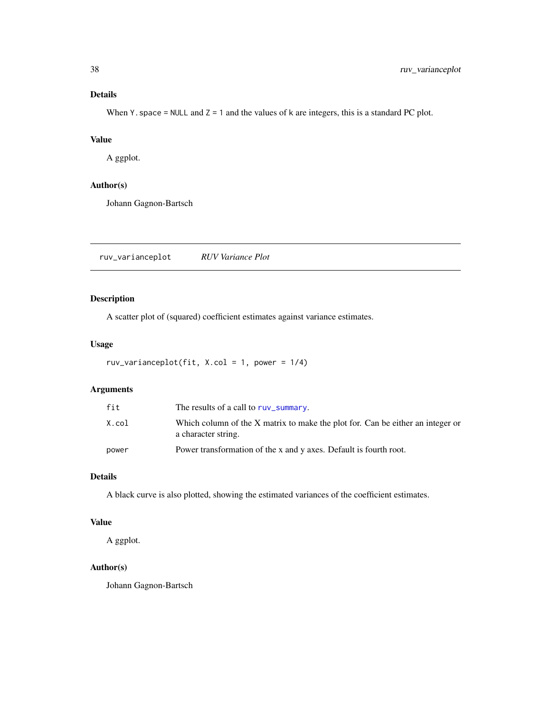#### <span id="page-37-0"></span>Details

When Y. space = NULL and  $Z = 1$  and the values of k are integers, this is a standard PC plot.

#### Value

A ggplot.

#### Author(s)

Johann Gagnon-Bartsch

ruv\_varianceplot *RUV Variance Plot*

# Description

A scatter plot of (squared) coefficient estimates against variance estimates.

#### Usage

```
ruv_varianceplot(fit, X.col = 1, power = 1/4)
```
# Arguments

| fit   | The results of a call to ruy_summary.                                                                 |
|-------|-------------------------------------------------------------------------------------------------------|
| X.col | Which column of the X matrix to make the plot for. Can be either an integer or<br>a character string. |
| power | Power transformation of the x and y axes. Default is fourth root.                                     |

#### Details

A black curve is also plotted, showing the estimated variances of the coefficient estimates.

# Value

A ggplot.

# Author(s)

Johann Gagnon-Bartsch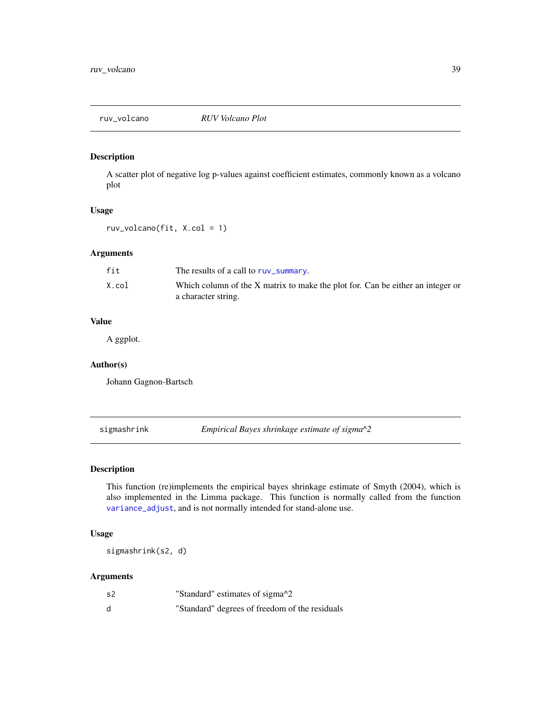<span id="page-38-0"></span>

# Description

A scatter plot of negative log p-values against coefficient estimates, commonly known as a volcano plot

#### Usage

ruv\_volcano(fit, X.col = 1)

#### Arguments

| fit   | The results of a call to ruy_summary.                                          |
|-------|--------------------------------------------------------------------------------|
| X.col | Which column of the X matrix to make the plot for. Can be either an integer or |
|       | a character string.                                                            |

# Value

A ggplot.

#### Author(s)

Johann Gagnon-Bartsch

<span id="page-38-1"></span>sigmashrink *Empirical Bayes shrinkage estimate of sigma^2*

# Description

This function (re)implements the empirical bayes shrinkage estimate of Smyth (2004), which is also implemented in the Limma package. This function is normally called from the function [variance\\_adjust](#page-39-1), and is not normally intended for stand-alone use.

# Usage

sigmashrink(s2, d)

| s2 | "Standard" estimates of sigma <sup>1</sup> 2   |
|----|------------------------------------------------|
| d  | "Standard" degrees of freedom of the residuals |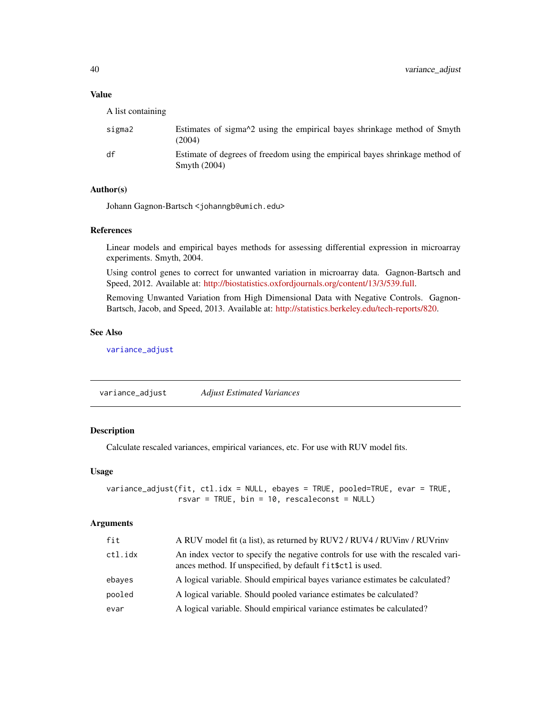#### <span id="page-39-0"></span>Value

A list containing

| sigma2 | Estimates of sigma <sup><math>\lambda</math>2</sup> using the empirical bayes shrinkage method of Smyth<br>(2004) |
|--------|-------------------------------------------------------------------------------------------------------------------|
| df     | Estimate of degrees of freedom using the empirical bayes shrinkage method of<br>Smyth $(2004)$                    |

#### Author(s)

Johann Gagnon-Bartsch <johanngb@umich.edu>

#### References

Linear models and empirical bayes methods for assessing differential expression in microarray experiments. Smyth, 2004.

Using control genes to correct for unwanted variation in microarray data. Gagnon-Bartsch and Speed, 2012. Available at: [http://biostatistics.oxfordjournals.org/content/13/3/539.full.](http://biostatistics.oxfordjournals.org/content/13/3/539.full)

Removing Unwanted Variation from High Dimensional Data with Negative Controls. Gagnon-Bartsch, Jacob, and Speed, 2013. Available at: [http://statistics.berkeley.edu/tech-reports/820.](http://statistics.berkeley.edu/tech-reports/820)

#### See Also

[variance\\_adjust](#page-39-1)

<span id="page-39-1"></span>variance\_adjust *Adjust Estimated Variances*

# Description

Calculate rescaled variances, empirical variances, etc. For use with RUV model fits.

#### Usage

```
variance_adjust(fit, ctl.idx = NULL, ebayes = TRUE, pooled=TRUE, evar = TRUE,
                rsvar = TRUE, bin = 10, rescaleconst = NULL)
```

| fit     | A RUV model fit (a list), as returned by RUV2 / RUV4 / RUVinv / RUVrinv                                                                         |
|---------|-------------------------------------------------------------------------------------------------------------------------------------------------|
| ctl.idx | An index vector to specify the negative controls for use with the rescaled vari-<br>ances method. If unspecified, by default fit \$ctl is used. |
| ebayes  | A logical variable. Should empirical bayes variance estimates be calculated?                                                                    |
| pooled  | A logical variable. Should pooled variance estimates be calculated?                                                                             |
| evar    | A logical variable. Should empirical variance estimates be calculated?                                                                          |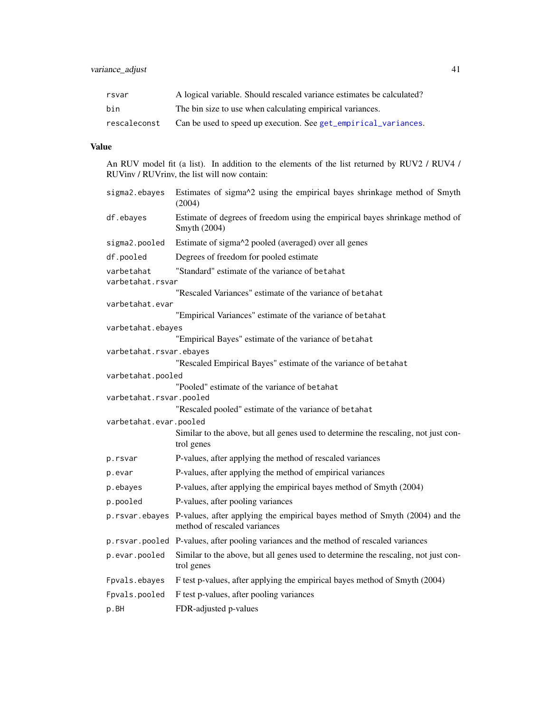<span id="page-40-0"></span>

| rsvar        | A logical variable. Should rescaled variance estimates be calculated? |
|--------------|-----------------------------------------------------------------------|
| bin          | The bin size to use when calculating empirical variances.             |
| rescaleconst | Can be used to speed up execution. See get_empirical_variances.       |

# Value

An RUV model fit (a list). In addition to the elements of the list returned by RUV2 / RUV4 / RUVinv / RUVrinv, the list will now contain:

| sigma2.ebayes                  | Estimates of sigma^2 using the empirical bayes shrinkage method of Smyth<br>(2004)                                           |  |
|--------------------------------|------------------------------------------------------------------------------------------------------------------------------|--|
| df.ebayes                      | Estimate of degrees of freedom using the empirical bayes shrinkage method of<br>Smyth (2004)                                 |  |
| sigma2.pooled                  | Estimate of sigma^2 pooled (averaged) over all genes                                                                         |  |
| df.pooled                      | Degrees of freedom for pooled estimate                                                                                       |  |
| varbetahat<br>varbetahat.rsvar | "Standard" estimate of the variance of betahat                                                                               |  |
|                                | "Rescaled Variances" estimate of the variance of betahat                                                                     |  |
| varbetahat.evar                |                                                                                                                              |  |
|                                | "Empirical Variances" estimate of the variance of betahat                                                                    |  |
| varbetahat.ebayes              | "Empirical Bayes" estimate of the variance of betahat                                                                        |  |
| varbetahat.rsvar.ebayes        |                                                                                                                              |  |
|                                | "Rescaled Empirical Bayes" estimate of the variance of betahat                                                               |  |
| varbetahat.pooled              |                                                                                                                              |  |
|                                | "Pooled" estimate of the variance of betahat                                                                                 |  |
| varbetahat.rsvar.pooled        |                                                                                                                              |  |
|                                | "Rescaled pooled" estimate of the variance of betahat                                                                        |  |
| varbetahat.evar.pooled         |                                                                                                                              |  |
|                                | Similar to the above, but all genes used to determine the rescaling, not just con-<br>trol genes                             |  |
| p.rsvar                        | P-values, after applying the method of rescaled variances                                                                    |  |
| p.evar                         | P-values, after applying the method of empirical variances                                                                   |  |
| p.ebayes                       | P-values, after applying the empirical bayes method of Smyth (2004)                                                          |  |
| p.pooled                       | P-values, after pooling variances                                                                                            |  |
|                                | p. rsvar. ebayes P-values, after applying the empirical bayes method of Smyth (2004) and the<br>method of rescaled variances |  |
|                                | p. rsvar. pooled P-values, after pooling variances and the method of rescaled variances                                      |  |
| p.evar.pooled                  | Similar to the above, but all genes used to determine the rescaling, not just con-<br>trol genes                             |  |
| Fpvals.ebayes                  | F test p-values, after applying the empirical bayes method of Smyth (2004)                                                   |  |
| Fpvals.pooled                  | F test p-values, after pooling variances                                                                                     |  |
| p.BH                           | FDR-adjusted p-values                                                                                                        |  |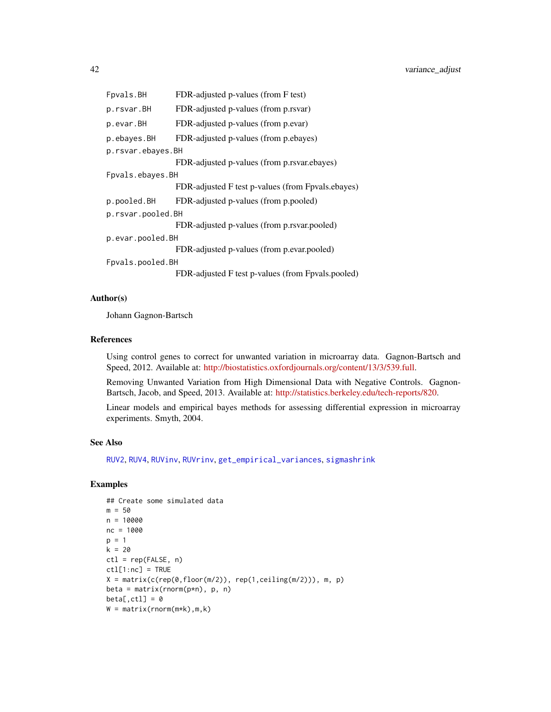<span id="page-41-0"></span>

| Fpvals.BH         | FDR-adjusted p-values (from F test)               |  |
|-------------------|---------------------------------------------------|--|
| p.rsvar.BH        | FDR-adjusted p-values (from p.rsvar)              |  |
| p.evar.BH         | FDR-adjusted p-values (from p.evar)               |  |
| p.ebayes.BH       | FDR-adjusted p-values (from p.ebayes)             |  |
| p.rsvar.ebayes.BH |                                                   |  |
|                   | FDR-adjusted p-values (from p.rsvar.ebayes)       |  |
| Fpvals.ebayes.BH  |                                                   |  |
|                   | FDR-adjusted F test p-values (from Fpvals.ebayes) |  |
| p.pooled.BH       | FDR-adjusted p-values (from p.pooled)             |  |
| p.rsvar.pooled.BH |                                                   |  |
|                   | FDR-adjusted p-values (from p.rsvar.pooled)       |  |
| p.evar.pooled.BH  |                                                   |  |
|                   | FDR-adjusted p-values (from p.evar.pooled)        |  |
| Fpvals.pooled.BH  |                                                   |  |
|                   | FDR-adjusted F test p-values (from Fpvals.pooled) |  |

#### Author(s)

Johann Gagnon-Bartsch

#### References

Using control genes to correct for unwanted variation in microarray data. Gagnon-Bartsch and Speed, 2012. Available at: [http://biostatistics.oxfordjournals.org/content/13/3/539.full.](http://biostatistics.oxfordjournals.org/content/13/3/539.full)

Removing Unwanted Variation from High Dimensional Data with Negative Controls. Gagnon-Bartsch, Jacob, and Speed, 2013. Available at: [http://statistics.berkeley.edu/tech-reports/820.](http://statistics.berkeley.edu/tech-reports/820)

Linear models and empirical bayes methods for assessing differential expression in microarray experiments. Smyth, 2004.

#### See Also

[RUV2](#page-13-1), [RUV4](#page-16-1), [RUVinv](#page-21-1), [RUVrinv](#page-23-1), [get\\_empirical\\_variances](#page-6-1), [sigmashrink](#page-38-1)

#### Examples

```
## Create some simulated data
m = 50n = 10000
nc = 1000
p = 1k = 20ctl = rep(FALEE, n)ctl[1:nc] = TRUEX = matrix(c(rep(\theta, floor(m/2)), rep(1, ceiling(m/2))), m, p)beta = matrix(rnorm(p*n), p, n)
beta[,ct1] = 0W = matrix(rnorm(m*k),m,k)
```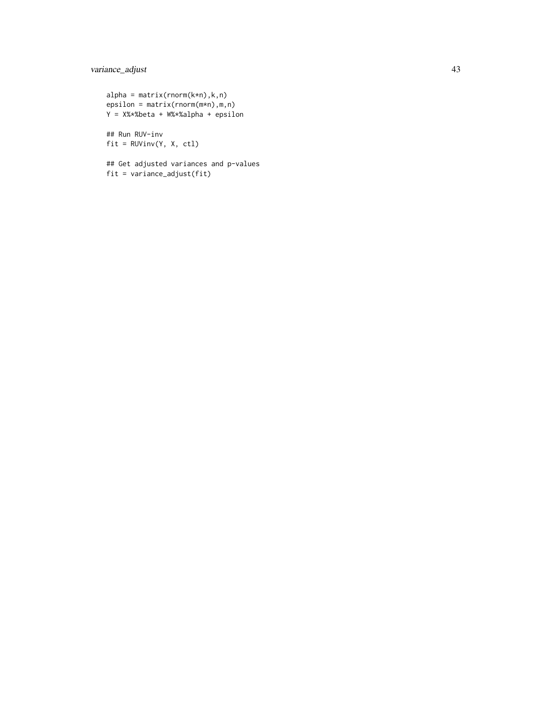```
alpha = matrix(rnorm(k*n),k,n)epsilon = matrix(rnorm(m*n),m,n)
Y = X%*%beta + W%*%alpha + epsilon
## Run RUV-inv
```
fit = RUVinv(Y, X, ctl)

## Get adjusted variances and p-values fit = variance\_adjust(fit)